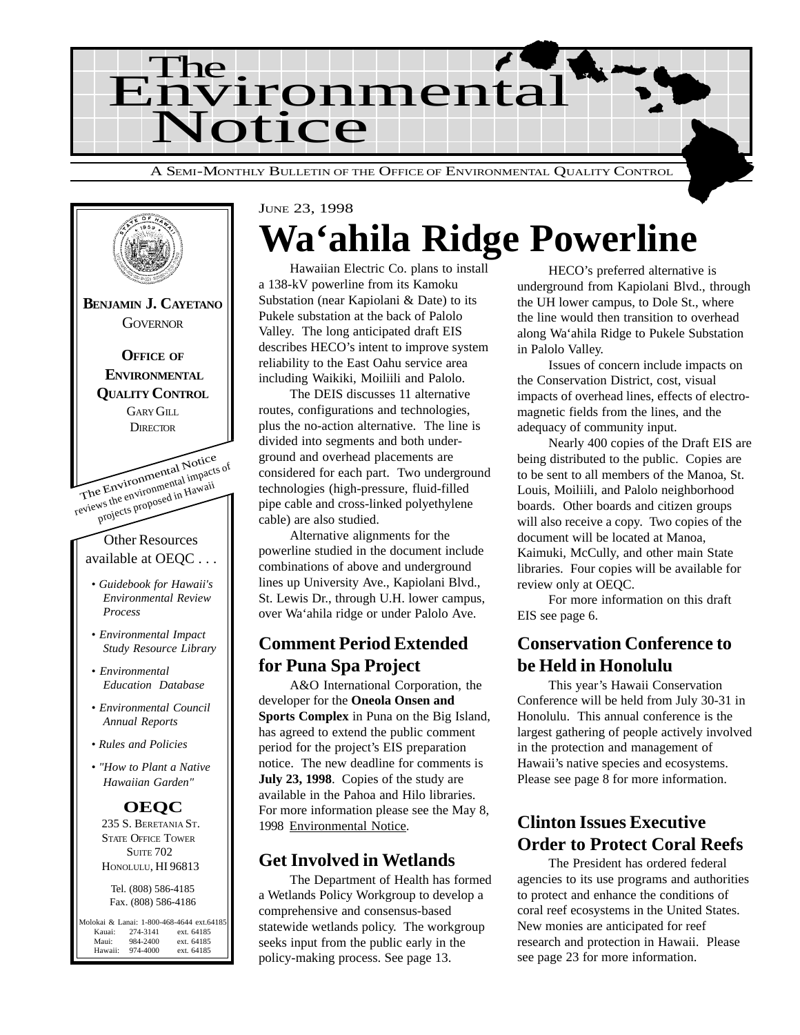



# JUNE 23, 1998 **Wa'ahila Ridge Powerline**

Hawaiian Electric Co. plans to install a 138-kV powerline from its Kamoku Substation (near Kapiolani & Date) to its Pukele substation at the back of Palolo Valley. The long anticipated draft EIS describes HECO's intent to improve system reliability to the East Oahu service area including Waikiki, Moiliili and Palolo.

The DEIS discusses 11 alternative routes, configurations and technologies, plus the no-action alternative. The line is divided into segments and both underground and overhead placements are considered for each part. Two underground technologies (high-pressure, fluid-filled pipe cable and cross-linked polyethylene cable) are also studied.

Alternative alignments for the powerline studied in the document include combinations of above and underground lines up University Ave., Kapiolani Blvd., St. Lewis Dr., through U.H. lower campus, over Wa'ahila ridge or under Palolo Ave.

## **Comment Period Extended for Puna Spa Project**

A&O International Corporation, the developer for the **Oneola Onsen and Sports Complex** in Puna on the Big Island, has agreed to extend the public comment period for the project's EIS preparation notice. The new deadline for comments is **July 23, 1998**. Copies of the study are available in the Pahoa and Hilo libraries. For more information please see the May 8, 1998 Environmental Notice.

### **Get Involved in Wetlands**

The Department of Health has formed a Wetlands Policy Workgroup to develop a comprehensive and consensus-based statewide wetlands policy. The workgroup seeks input from the public early in the policy-making process. See page 13.

HECO's preferred alternative is underground from Kapiolani Blvd., through the UH lower campus, to Dole St., where the line would then transition to overhead along Wa'ahila Ridge to Pukele Substation in Palolo Valley.

Issues of concern include impacts on the Conservation District, cost, visual impacts of overhead lines, effects of electromagnetic fields from the lines, and the adequacy of community input.

Nearly 400 copies of the Draft EIS are being distributed to the public. Copies are to be sent to all members of the Manoa, St. Louis, Moiliili, and Palolo neighborhood boards. Other boards and citizen groups will also receive a copy. Two copies of the document will be located at Manoa, Kaimuki, McCully, and other main State libraries. Four copies will be available for review only at OEQC.

For more information on this draft EIS see page 6.

## **Conservation Conference to be Held in Honolulu**

This year's Hawaii Conservation Conference will be held from July 30-31 in Honolulu. This annual conference is the largest gathering of people actively involved in the protection and management of Hawaii's native species and ecosystems. Please see page 8 for more information.

# **Clinton Issues Executive Order to Protect Coral Reefs**

The President has ordered federal agencies to its use programs and authorities to protect and enhance the conditions of coral reef ecosystems in the United States. New monies are anticipated for reef research and protection in Hawaii. Please see page 23 for more information.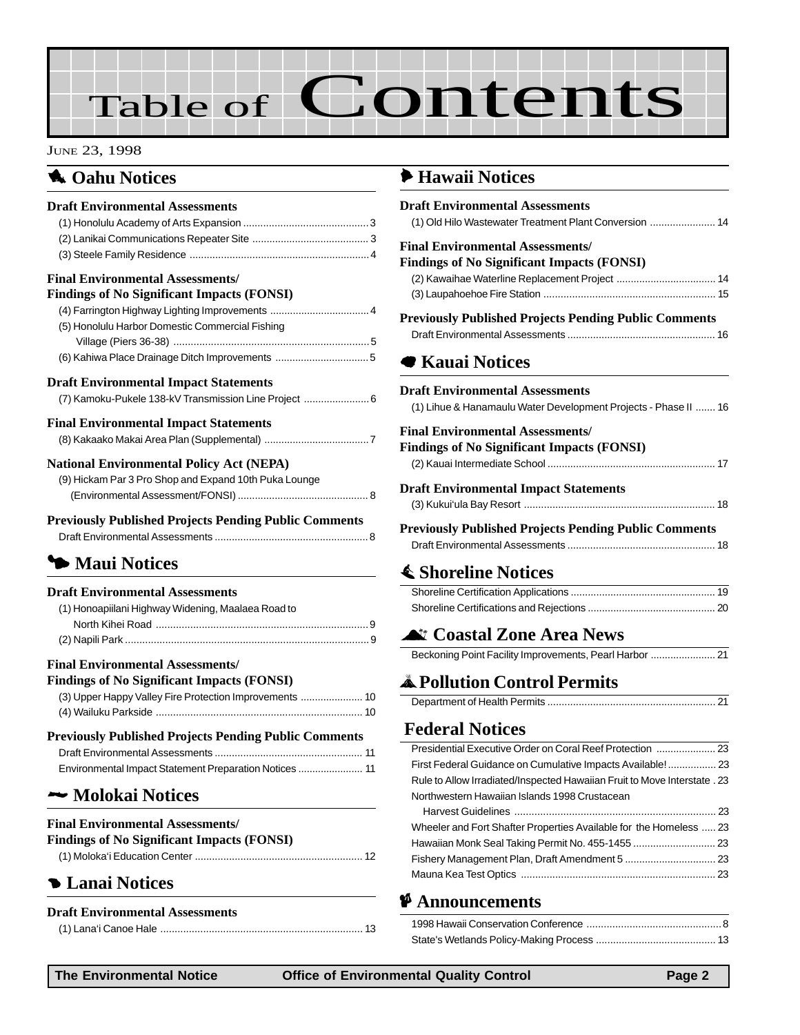# Table of Contents

#### JUNE 23, 1998

### **1** Oahu Notices

| <b>Draft Environmental Assessments</b>                       |  |
|--------------------------------------------------------------|--|
|                                                              |  |
|                                                              |  |
|                                                              |  |
| <b>Final Environmental Assessments/</b>                      |  |
| <b>Findings of No Significant Impacts (FONSI)</b>            |  |
| (4) Farrington Highway Lighting Improvements  4              |  |
| (5) Honolulu Harbor Domestic Commercial Fishing              |  |
|                                                              |  |
|                                                              |  |
| <b>Draft Environmental Impact Statements</b>                 |  |
| (7) Kamoku-Pukele 138-kV Transmission Line Project  6        |  |
| <b>Final Environmental Impact Statements</b>                 |  |
|                                                              |  |
| <b>National Environmental Policy Act (NEPA)</b>              |  |
| (9) Hickam Par 3 Pro Shop and Expand 10th Puka Lounge        |  |
|                                                              |  |
| <b>Previously Published Projects Pending Public Comments</b> |  |
|                                                              |  |
|                                                              |  |

# 3 **Maui Notices**

#### **Draft Environmental Assessments**

| (1) Honoapiilani Highway Widening, Maalaea Road to |  |
|----------------------------------------------------|--|
|                                                    |  |
|                                                    |  |
| <b>Final Environmental Assessments/</b>            |  |

### **Findings of No Significant Impacts (FONSI)**

| $\mu$ and $\mu$ or $\mu$ or $\mu$ or $\mu$ or $\mu$ or $\mu$ or $\mu$ |
|-----------------------------------------------------------------------|
|                                                                       |
|                                                                       |

| <b>Previously Published Projects Pending Public Comments</b> |  |  |
|--------------------------------------------------------------|--|--|
|                                                              |  |  |
| Environmental Impact Statement Preparation Notices  11       |  |  |

## 2 **[Molokai Notices](#page-11-0)**

### **Final Environmental Assessments/**

| <b>Findings of No Significant Impacts (FONSI)</b> |  |
|---------------------------------------------------|--|
|                                                   |  |

# 4 **[Lanai Notices](#page-12-0)**

### **Draft Environmental Assessments**

### 6 **[Hawaii Notices](#page-13-0)**

| <b>Draft Environmental Assessments</b>                                    |  |
|---------------------------------------------------------------------------|--|
| (1) Old Hilo Wastewater Treatment Plant Conversion  14                    |  |
| <b>Final Environmental Assessments/</b>                                   |  |
| <b>Findings of No Significant Impacts (FONSI)</b>                         |  |
| (2) Kawaihae Waterline Replacement Project  14                            |  |
|                                                                           |  |
| <b>Previously Published Projects Pending Public Comments</b>              |  |
|                                                                           |  |
| <b>■ Kauai Notices</b>                                                    |  |
|                                                                           |  |
| <b>Draft Environmental Assessments</b>                                    |  |
| (1) Lihue & Hanamaulu Water Development Projects - Phase II  16           |  |
| <b>Final Environmental Assessments/</b>                                   |  |
| <b>Findings of No Significant Impacts (FONSI)</b>                         |  |
|                                                                           |  |
| <b>Draft Environmental Impact Statements</b>                              |  |
|                                                                           |  |
|                                                                           |  |
| <b>Previously Published Projects Pending Public Comments</b>              |  |
|                                                                           |  |
| <b>E</b> Shoreline Notices                                                |  |
|                                                                           |  |
|                                                                           |  |
|                                                                           |  |
| <b>At Coastal Zone Area News</b>                                          |  |
| Beckoning Point Facility Improvements, Pearl Harbor  21                   |  |
| <b>A</b> Pollution Control Permits                                        |  |
|                                                                           |  |
|                                                                           |  |
| <b>Federal Notices</b>                                                    |  |
| Presidential Executive Order on Coral Reef Protection  23                 |  |
| First Federal Guidance on Cumulative Impacts Available! 23                |  |
| Rule to Allow Irradiated/Inspected Hawaiian Fruit to Move Interstate . 23 |  |
| Northwestern Hawaiian Islands 1998 Crustacean                             |  |
|                                                                           |  |
| Wheeler and Fort Shafter Properties Available for the Homeless  23        |  |

[Hawaiian Monk Seal Taking Permit No. 455-1455 ............................. 23](#page-22-0) [Fishery Management Plan, Draft Amendment 5 ................................ 23](#page-22-0) Mauna Kea Test Optics .................................................................... 23

### C **Announcements**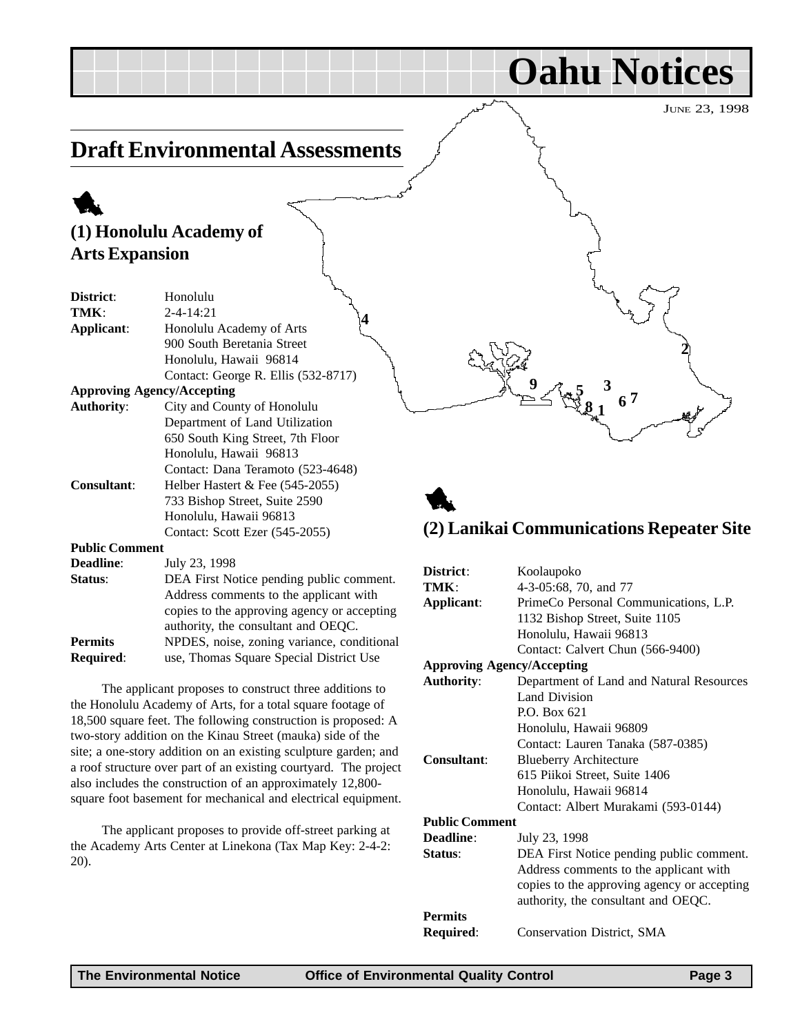**2**

**Oahu Notices**

# <span id="page-2-0"></span>**Draft Environmental Assessments**

# 1

# **(1) Honolulu Academy of Arts Expansion**

| District:             | Honolulu                            |
|-----------------------|-------------------------------------|
| TMK:                  | $2 - 4 - 14:21$                     |
| Applicant:            | Honolulu Academy of Arts            |
|                       | 900 South Beretania Street          |
|                       | Honolulu, Hawaii 96814              |
|                       | Contact: George R. Ellis (532-8717) |
|                       | <b>Approving Agency/Accepting</b>   |
| <b>Authority:</b>     | City and County of Honolulu         |
|                       | Department of Land Utilization      |
|                       | 650 South King Street, 7th Floor    |
|                       | Honolulu, Hawaii 96813              |
|                       | Contact: Dana Teramoto (523-4648)   |
| <b>Consultant:</b>    | Helber Hastert $&$ Fee (545-2055)   |
|                       | 733 Bishop Street, Suite 2590       |
|                       | Honolulu, Hawaii 96813              |
|                       | Contact: Scott Ezer (545-2055)      |
| <b>Public Comment</b> |                                     |
| <b>Deadline:</b>      | July 23, 1998                       |

| vuuniv.          | $3.411 \pm 0.1170$                          |
|------------------|---------------------------------------------|
| Status:          | DEA First Notice pending public comment.    |
|                  | Address comments to the applicant with      |
|                  | copies to the approving agency or accepting |
|                  | authority, the consultant and OEQC.         |
| <b>Permits</b>   | NPDES, noise, zoning variance, conditional  |
| <b>Required:</b> | use, Thomas Square Special District Use     |

The applicant proposes to construct three additions to the Honolulu Academy of Arts, for a total square footage of 18,500 square feet. The following construction is proposed: A two-story addition on the Kinau Street (mauka) side of the site; a one-story addition on an existing sculpture garden; and a roof structure over part of an existing courtyard. The project also includes the construction of an approximately 12,800 square foot basement for mechanical and electrical equipment.

The applicant proposes to provide off-street parking at the Academy Arts Center at Linekona (Tax Map Key: 2-4-2: 20).

# 1 **(2) Lanikai Communications Repeater Site**

**3**

**7**

**6 8**

**1**

**5**

**9**

| District:                         | Koolaupoko                                  |
|-----------------------------------|---------------------------------------------|
| TMK:                              | 4-3-05:68, 70, and 77                       |
| Applicant:                        | PrimeCo Personal Communications, L.P.       |
|                                   | 1132 Bishop Street, Suite 1105              |
|                                   | Honolulu, Hawaii 96813                      |
|                                   | Contact: Calvert Chun (566-9400)            |
| <b>Approving Agency/Accepting</b> |                                             |
| <b>Authority:</b>                 | Department of Land and Natural Resources    |
|                                   | Land Division                               |
|                                   | P.O. Box 621                                |
|                                   | Honolulu, Hawaii 96809                      |
|                                   | Contact: Lauren Tanaka (587-0385)           |
| Consultant:                       | <b>Blueberry Architecture</b>               |
|                                   | 615 Piikoi Street, Suite 1406               |
|                                   | Honolulu, Hawaii 96814                      |
|                                   | Contact: Albert Murakami (593-0144)         |
| <b>Public Comment</b>             |                                             |
| Deadline:                         | July 23, 1998                               |
| Status:                           | DEA First Notice pending public comment.    |
|                                   | Address comments to the applicant with      |
|                                   | copies to the approving agency or accepting |
|                                   | authority, the consultant and OEQC.         |
| <b>Permits</b>                    |                                             |
| Required:                         | Conservation District, SMA                  |
|                                   |                                             |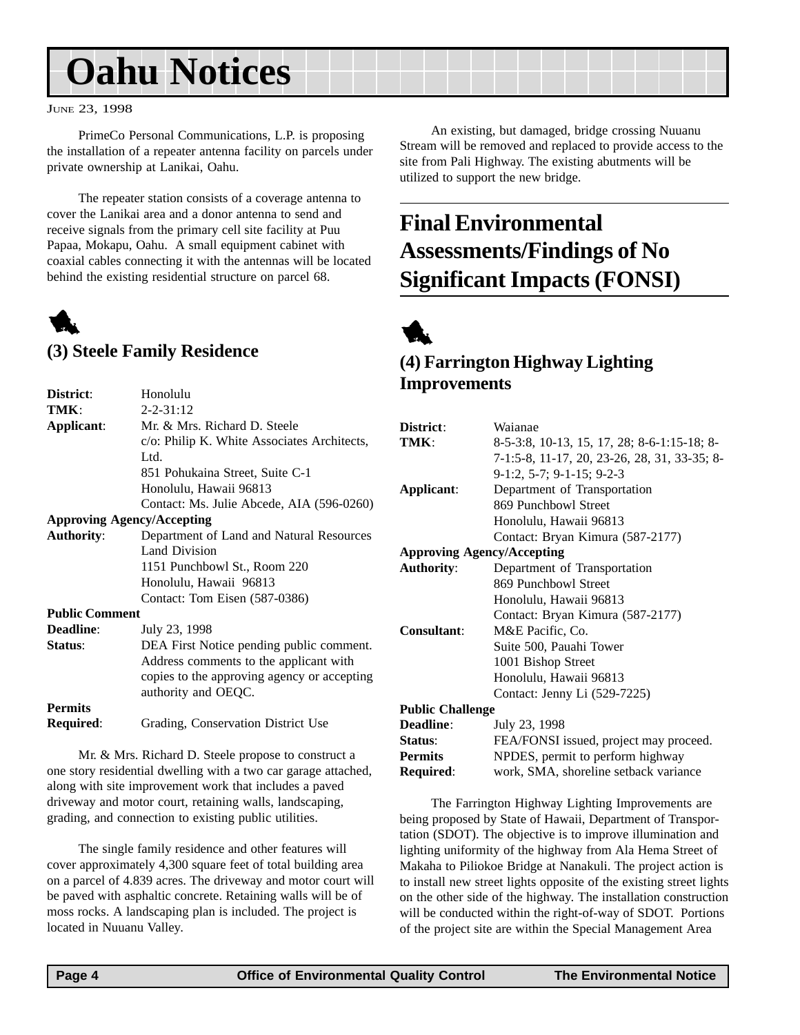# <span id="page-3-0"></span>**Oahu Notices**

#### JUNE 23, 1998

PrimeCo Personal Communications, L.P. is proposing the installation of a repeater antenna facility on parcels under private ownership at Lanikai, Oahu.

The repeater station consists of a coverage antenna to cover the Lanikai area and a donor antenna to send and receive signals from the primary cell site facility at Puu Papaa, Mokapu, Oahu. A small equipment cabinet with coaxial cables connecting it with the antennas will be located behind the existing residential structure on parcel 68.

# 1

### **(3) Steele Family Residence**

| District:                         | Honolulu                                    |
|-----------------------------------|---------------------------------------------|
| TMK:                              | $2 - 2 - 31 : 12$                           |
| Applicant:                        | Mr. & Mrs. Richard D. Steele                |
|                                   | c/o: Philip K. White Associates Architects, |
|                                   | Ltd.                                        |
|                                   | 851 Pohukaina Street, Suite C-1             |
|                                   | Honolulu, Hawaii 96813                      |
|                                   | Contact: Ms. Julie Abcede, AIA (596-0260)   |
| <b>Approving Agency/Accepting</b> |                                             |
| <b>Authority:</b>                 | Department of Land and Natural Resources    |
|                                   | <b>Land Division</b>                        |
|                                   | 1151 Punchbowl St., Room 220                |
|                                   | Honolulu, Hawaii 96813                      |
|                                   | Contact: Tom Eisen (587-0386)               |
| <b>Public Comment</b>             |                                             |
| <b>Deadline:</b>                  | July 23, 1998                               |
| Status:                           | DEA First Notice pending public comment.    |
|                                   | Address comments to the applicant with      |
|                                   | copies to the approving agency or accepting |
|                                   | authority and OEQC.                         |
| <b>Permits</b>                    |                                             |
| Required:                         | Grading, Conservation District Use          |
|                                   |                                             |

Mr. & Mrs. Richard D. Steele propose to construct a one story residential dwelling with a two car garage attached, along with site improvement work that includes a paved driveway and motor court, retaining walls, landscaping, grading, and connection to existing public utilities.

The single family residence and other features will cover approximately 4,300 square feet of total building area on a parcel of 4.839 acres. The driveway and motor court will be paved with asphaltic concrete. Retaining walls will be of moss rocks. A landscaping plan is included. The project is located in Nuuanu Valley.

An existing, but damaged, bridge crossing Nuuanu Stream will be removed and replaced to provide access to the site from Pali Highway. The existing abutments will be utilized to support the new bridge.

# **Final Environmental Assessments/Findings of No Significant Impacts (FONSI)**



## **(4) Farrington Highway Lighting Improvements**

| District:                         | Waianae                                      |  |
|-----------------------------------|----------------------------------------------|--|
| TMK:                              | 8-5-3:8, 10-13, 15, 17, 28; 8-6-1:15-18; 8-  |  |
|                                   | 7-1:5-8, 11-17, 20, 23-26, 28, 31, 33-35; 8- |  |
|                                   | 9-1:2, 5-7; 9-1-15; 9-2-3                    |  |
| Applicant:                        | Department of Transportation                 |  |
|                                   | 869 Punchbowl Street                         |  |
|                                   | Honolulu, Hawaii 96813                       |  |
|                                   | Contact: Bryan Kimura (587-2177)             |  |
| <b>Approving Agency/Accepting</b> |                                              |  |
| <b>Authority:</b>                 | Department of Transportation                 |  |
|                                   | 869 Punchbowl Street                         |  |
|                                   | Honolulu, Hawaii 96813                       |  |
|                                   | Contact: Bryan Kimura (587-2177)             |  |
| <b>Consultant:</b>                | M&E Pacific, Co.                             |  |
|                                   | Suite 500, Pauahi Tower                      |  |
|                                   | 1001 Bishop Street                           |  |
|                                   | Honolulu, Hawaii 96813                       |  |
|                                   | Contact: Jenny Li (529-7225)                 |  |
| <b>Public Challenge</b>           |                                              |  |
| Deadline:                         | July 23, 1998                                |  |
| Status:                           | FEA/FONSI issued, project may proceed.       |  |
| <b>Permits</b>                    | NPDES, permit to perform highway             |  |
| Required:                         | work, SMA, shoreline setback variance        |  |

The Farrington Highway Lighting Improvements are being proposed by State of Hawaii, Department of Transportation (SDOT). The objective is to improve illumination and lighting uniformity of the highway from Ala Hema Street of Makaha to Piliokoe Bridge at Nanakuli. The project action is to install new street lights opposite of the existing street lights on the other side of the highway. The installation construction will be conducted within the right-of-way of SDOT. Portions of the project site are within the Special Management Area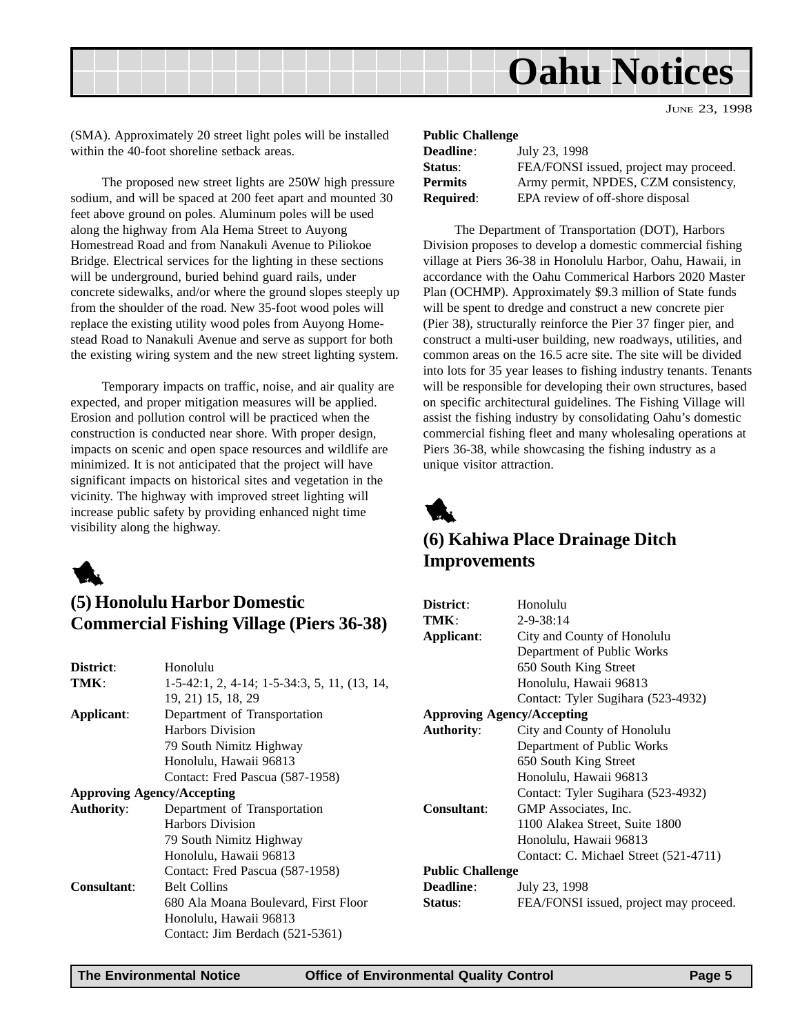<span id="page-4-0"></span>

(SMA). Approximately 20 street light poles will be installed within the 40-foot shoreline setback areas.

The proposed new street lights are 250W high pressure sodium, and will be spaced at 200 feet apart and mounted 30 feet above ground on poles. Aluminum poles will be used along the highway from Ala Hema Street to Auyong Homestread Road and from Nanakuli Avenue to Piliokoe Bridge. Electrical services for the lighting in these sections will be underground, buried behind guard rails, under concrete sidewalks, and/or where the ground slopes steeply up from the shoulder of the road. New 35-foot wood poles will replace the existing utility wood poles from Auyong Homestead Road to Nanakuli Avenue and serve as support for both the existing wiring system and the new street lighting system.

Temporary impacts on traffic, noise, and air quality are expected, and proper mitigation measures will be applied. Erosion and pollution control will be practiced when the construction is conducted near shore. With proper design, impacts on scenic and open space resources and wildlife are minimized. It is not anticipated that the project will have significant impacts on historical sites and vegetation in the vicinity. The highway with improved street lighting will increase public safety by providing enhanced night time visibility along the highway.



## **(5) Honolulu Harbor Domestic Commercial Fishing Village (Piers 36-38)**

| District:                         | Honolulu                                     |
|-----------------------------------|----------------------------------------------|
| TMK:                              | 1-5-42:1, 2, 4-14; 1-5-34:3, 5, 11, (13, 14, |
|                                   | 19, 21) 15, 18, 29                           |
| Applicant:                        | Department of Transportation                 |
|                                   | Harbors Division                             |
|                                   | 79 South Nimitz Highway                      |
|                                   | Honolulu, Hawaii 96813                       |
|                                   | Contact: Fred Pascua (587-1958)              |
| <b>Approving Agency/Accepting</b> |                                              |
| <b>Authority:</b>                 | Department of Transportation                 |
|                                   | <b>Harbors Division</b>                      |
|                                   | 79 South Nimitz Highway                      |
|                                   | Honolulu, Hawaii 96813                       |
|                                   | Contact: Fred Pascua (587-1958)              |
| <b>Consultant:</b>                | <b>Belt Collins</b>                          |
|                                   | 680 Ala Moana Boulevard, First Floor         |
|                                   | Honolulu, Hawaii 96813                       |
|                                   | Contact: Jim Berdach (521-5361)              |
|                                   |                                              |

| <b>Public Challenge</b> |                                        |  |
|-------------------------|----------------------------------------|--|
| <b>Deadline:</b>        | July 23, 1998                          |  |
| Status:                 | FEA/FONSI issued, project may proceed. |  |
| <b>Permits</b>          | Army permit, NPDES, CZM consistency,   |  |
| <b>Required:</b>        | EPA review of off-shore disposal       |  |

The Department of Transportation (DOT), Harbors Division proposes to develop a domestic commercial fishing village at Piers 36-38 in Honolulu Harbor, Oahu, Hawaii, in accordance with the Oahu Commerical Harbors 2020 Master Plan (OCHMP). Approximately \$9.3 million of State funds will be spent to dredge and construct a new concrete pier (Pier 38), structurally reinforce the Pier 37 finger pier, and construct a multi-user building, new roadways, utilities, and common areas on the 16.5 acre site. The site will be divided into lots for 35 year leases to fishing industry tenants. Tenants will be responsible for developing their own structures, based on specific architectural guidelines. The Fishing Village will assist the fishing industry by consolidating Oahu's domestic commercial fishing fleet and many wholesaling operations at Piers 36-38, while showcasing the fishing industry as a unique visitor attraction.



## **(6) Kahiwa Place Drainage Ditch Improvements**

| District:                         | Honolulu                               |  |
|-----------------------------------|----------------------------------------|--|
| TMK:                              | $2 - 9 - 38:14$                        |  |
| Applicant:                        | City and County of Honolulu            |  |
|                                   | Department of Public Works             |  |
|                                   | 650 South King Street                  |  |
|                                   | Honolulu, Hawaii 96813                 |  |
|                                   | Contact: Tyler Sugihara (523-4932)     |  |
| <b>Approving Agency/Accepting</b> |                                        |  |
| <b>Authority:</b>                 | City and County of Honolulu            |  |
|                                   | Department of Public Works             |  |
|                                   | 650 South King Street                  |  |
|                                   | Honolulu, Hawaii 96813                 |  |
|                                   | Contact: Tyler Sugihara (523-4932)     |  |
| Consultant:                       | GMP Associates, Inc.                   |  |
|                                   | 1100 Alakea Street, Suite 1800         |  |
|                                   | Honolulu, Hawaii 96813                 |  |
|                                   | Contact: C. Michael Street (521-4711)  |  |
| <b>Public Challenge</b>           |                                        |  |
| <b>Deadline:</b>                  | July 23, 1998                          |  |
| Status:                           | FEA/FONSI issued, project may proceed. |  |
|                                   |                                        |  |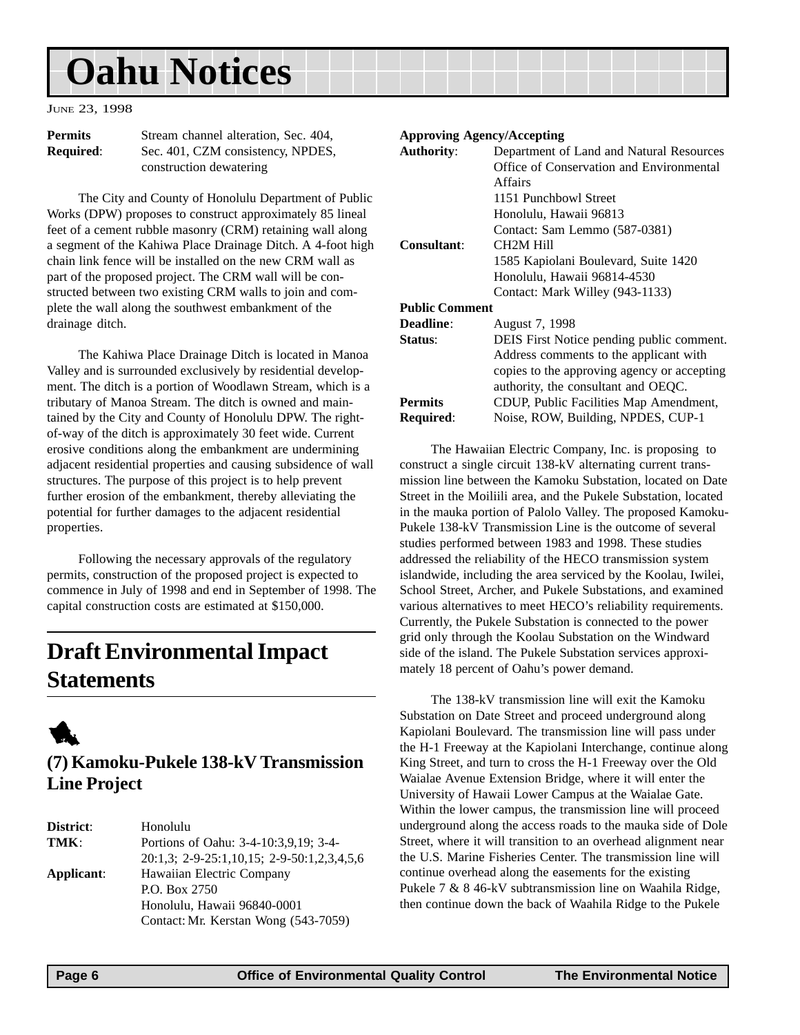# <span id="page-5-0"></span>**Oahu Notices**

JUNE 23, 1998

**Permits** Stream channel alteration, Sec. 404, **Required**: Sec. 401, CZM consistency, NPDES, construction dewatering

The City and County of Honolulu Department of Public Works (DPW) proposes to construct approximately 85 lineal feet of a cement rubble masonry (CRM) retaining wall along a segment of the Kahiwa Place Drainage Ditch. A 4-foot high chain link fence will be installed on the new CRM wall as part of the proposed project. The CRM wall will be constructed between two existing CRM walls to join and complete the wall along the southwest embankment of the drainage ditch.

The Kahiwa Place Drainage Ditch is located in Manoa Valley and is surrounded exclusively by residential development. The ditch is a portion of Woodlawn Stream, which is a tributary of Manoa Stream. The ditch is owned and maintained by the City and County of Honolulu DPW. The rightof-way of the ditch is approximately 30 feet wide. Current erosive conditions along the embankment are undermining adjacent residential properties and causing subsidence of wall structures. The purpose of this project is to help prevent further erosion of the embankment, thereby alleviating the potential for further damages to the adjacent residential properties.

Following the necessary approvals of the regulatory permits, construction of the proposed project is expected to commence in July of 1998 and end in September of 1998. The capital construction costs are estimated at \$150,000.

# **Draft Environmental Impact Statements**



## **(7) Kamoku-Pukele 138-kV Transmission Line Project**

| District:  | Honolulu                                   |
|------------|--------------------------------------------|
| TMK:       | Portions of Oahu: 3-4-10:3,9,19; 3-4-      |
|            | 20:1,3; 2-9-25:1,10,15; 2-9-50:1,2,3,4,5,6 |
| Applicant: | Hawaiian Electric Company                  |
|            | P.O. Box 2750                              |
|            | Honolulu, Hawaii 96840-0001                |
|            | Contact: Mr. Kerstan Wong (543-7059)       |
|            |                                            |

#### **Approving Agency/Accepting**

| <b>Authority:</b>     | Department of Land and Natural Resources    |
|-----------------------|---------------------------------------------|
|                       | Office of Conservation and Environmental    |
|                       | Affairs                                     |
|                       | 1151 Punchbowl Street                       |
|                       | Honolulu, Hawaii 96813                      |
|                       | Contact: Sam Lemmo (587-0381)               |
| <b>Consultant:</b>    | <b>CH2M Hill</b>                            |
|                       | 1585 Kapiolani Boulevard, Suite 1420        |
|                       | Honolulu, Hawaii 96814-4530                 |
|                       | Contact: Mark Willey (943-1133)             |
| <b>Public Comment</b> |                                             |
| <b>Deadline:</b>      | August 7, 1998                              |
| Status:               | DEIS First Notice pending public comment.   |
|                       | Address comments to the applicant with      |
|                       | copies to the approving agency or accepting |
|                       | authority, the consultant and OEQC.         |
| <b>Permits</b>        | CDUP, Public Facilities Map Amendment,      |
| Required:             | Noise, ROW, Building, NPDES, CUP-1          |
|                       |                                             |

The Hawaiian Electric Company, Inc. is proposing to construct a single circuit 138-kV alternating current transmission line between the Kamoku Substation, located on Date Street in the Moiliili area, and the Pukele Substation, located in the mauka portion of Palolo Valley. The proposed Kamoku-Pukele 138-kV Transmission Line is the outcome of several studies performed between 1983 and 1998. These studies addressed the reliability of the HECO transmission system islandwide, including the area serviced by the Koolau, Iwilei, School Street, Archer, and Pukele Substations, and examined various alternatives to meet HECO's reliability requirements. Currently, the Pukele Substation is connected to the power grid only through the Koolau Substation on the Windward side of the island. The Pukele Substation services approximately 18 percent of Oahu's power demand.

The 138-kV transmission line will exit the Kamoku Substation on Date Street and proceed underground along Kapiolani Boulevard. The transmission line will pass under the H-1 Freeway at the Kapiolani Interchange, continue along King Street, and turn to cross the H-1 Freeway over the Old Waialae Avenue Extension Bridge, where it will enter the University of Hawaii Lower Campus at the Waialae Gate. Within the lower campus, the transmission line will proceed underground along the access roads to the mauka side of Dole Street, where it will transition to an overhead alignment near the U.S. Marine Fisheries Center. The transmission line will continue overhead along the easements for the existing Pukele 7 & 8 46-kV subtransmission line on Waahila Ridge, then continue down the back of Waahila Ridge to the Pukele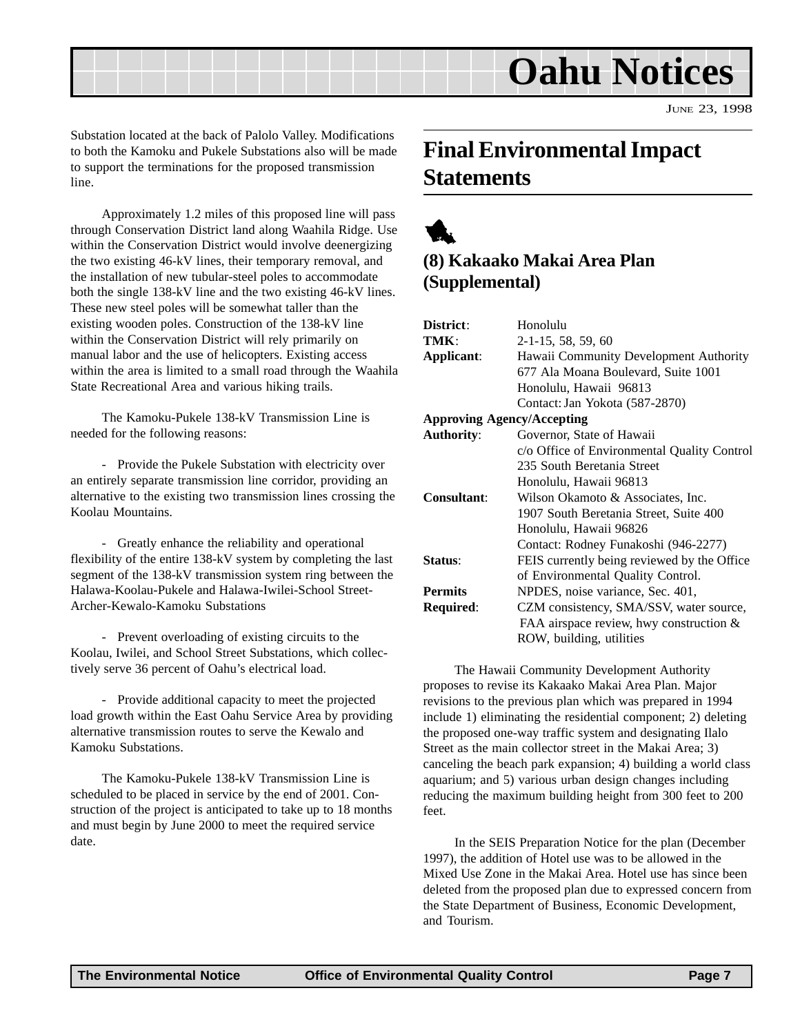<span id="page-6-0"></span>

Substation located at the back of Palolo Valley. Modifications to both the Kamoku and Pukele Substations also will be made to support the terminations for the proposed transmission line.

Approximately 1.2 miles of this proposed line will pass through Conservation District land along Waahila Ridge. Use within the Conservation District would involve deenergizing the two existing 46-kV lines, their temporary removal, and the installation of new tubular-steel poles to accommodate both the single 138-kV line and the two existing 46-kV lines. These new steel poles will be somewhat taller than the existing wooden poles. Construction of the 138-kV line within the Conservation District will rely primarily on manual labor and the use of helicopters. Existing access within the area is limited to a small road through the Waahila State Recreational Area and various hiking trails.

The Kamoku-Pukele 138-kV Transmission Line is needed for the following reasons:

- Provide the Pukele Substation with electricity over an entirely separate transmission line corridor, providing an alternative to the existing two transmission lines crossing the Koolau Mountains.

- Greatly enhance the reliability and operational flexibility of the entire 138-kV system by completing the last segment of the 138-kV transmission system ring between the Halawa-Koolau-Pukele and Halawa-Iwilei-School Street-Archer-Kewalo-Kamoku Substations

- Prevent overloading of existing circuits to the Koolau, Iwilei, and School Street Substations, which collectively serve 36 percent of Oahu's electrical load.

- Provide additional capacity to meet the projected load growth within the East Oahu Service Area by providing alternative transmission routes to serve the Kewalo and Kamoku Substations.

The Kamoku-Pukele 138-kV Transmission Line is scheduled to be placed in service by the end of 2001. Construction of the project is anticipated to take up to 18 months and must begin by June 2000 to meet the required service date.

# **Final Environmental Impact Statements**

# 1

## **(8) Kakaako Makai Area Plan (Supplemental)**

| District:                         | Honolulu                                    |
|-----------------------------------|---------------------------------------------|
| TMK:                              | $2-1-15$ , 58, 59, 60                       |
| Applicant:                        | Hawaii Community Development Authority      |
|                                   | 677 Ala Moana Boulevard, Suite 1001         |
|                                   | Honolulu, Hawaii 96813                      |
|                                   | Contact: Jan Yokota (587-2870)              |
| <b>Approving Agency/Accepting</b> |                                             |
| <b>Authority:</b>                 | Governor, State of Hawaii                   |
|                                   | c/o Office of Environmental Quality Control |
|                                   | 235 South Beretania Street                  |
|                                   | Honolulu, Hawaii 96813                      |
| Consultant:                       | Wilson Okamoto & Associates, Inc.           |
|                                   | 1907 South Beretania Street, Suite 400      |
|                                   | Honolulu, Hawaii 96826                      |
|                                   | Contact: Rodney Funakoshi (946-2277)        |
| Status:                           | FEIS currently being reviewed by the Office |
|                                   | of Environmental Quality Control.           |
| <b>Permits</b>                    | NPDES, noise variance, Sec. 401,            |
| Required:                         | CZM consistency, SMA/SSV, water source,     |
|                                   | FAA airspace review, hwy construction &     |
|                                   | ROW, building, utilities                    |

The Hawaii Community Development Authority proposes to revise its Kakaako Makai Area Plan. Major revisions to the previous plan which was prepared in 1994 include 1) eliminating the residential component; 2) deleting the proposed one-way traffic system and designating Ilalo Street as the main collector street in the Makai Area; 3) canceling the beach park expansion; 4) building a world class aquarium; and 5) various urban design changes including reducing the maximum building height from 300 feet to 200 feet.

In the SEIS Preparation Notice for the plan (December 1997), the addition of Hotel use was to be allowed in the Mixed Use Zone in the Makai Area. Hotel use has since been deleted from the proposed plan due to expressed concern from the State Department of Business, Economic Development, and Tourism.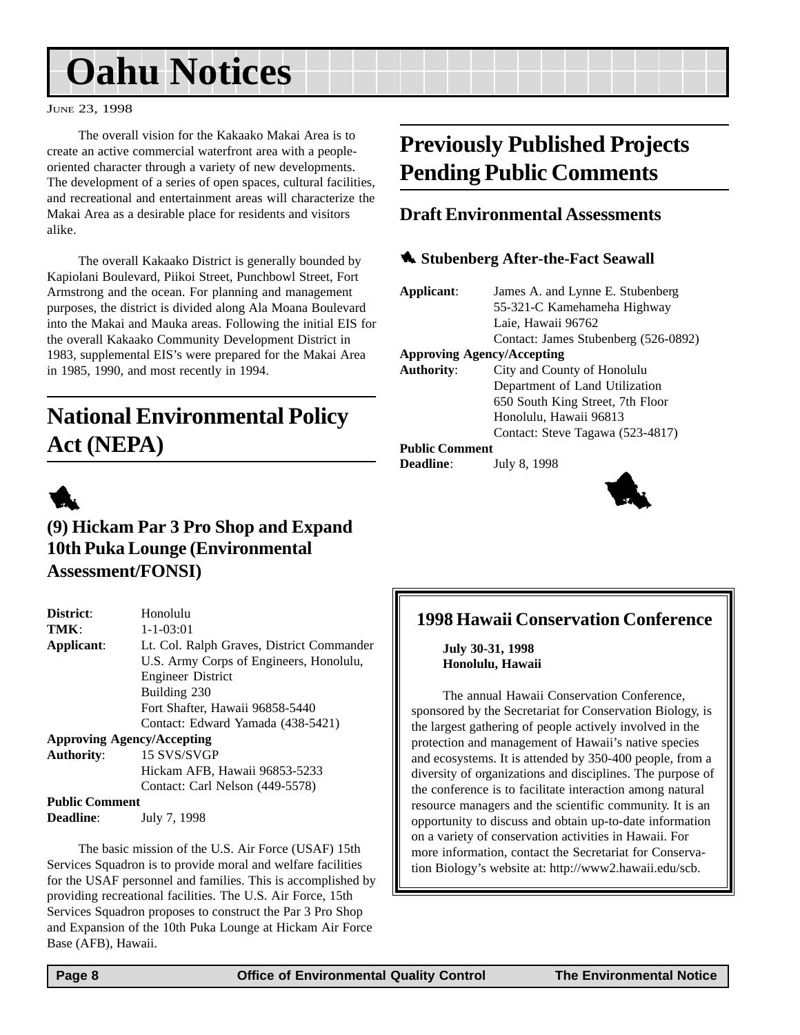# <span id="page-7-0"></span>**Oahu Notices**

#### JUNE 23, 1998

The overall vision for the Kakaako Makai Area is to create an active commercial waterfront area with a peopleoriented character through a variety of new developments. The development of a series of open spaces, cultural facilities, and recreational and entertainment areas will characterize the Makai Area as a desirable place for residents and visitors alike.

The overall Kakaako District is generally bounded by Kapiolani Boulevard, Piikoi Street, Punchbowl Street, Fort Armstrong and the ocean. For planning and management purposes, the district is divided along Ala Moana Boulevard into the Makai and Mauka areas. Following the initial EIS for the overall Kakaako Community Development District in 1983, supplemental EIS's were prepared for the Makai Area in 1985, 1990, and most recently in 1994.

# **National Environmental Policy Act (NEPA)**



### **(9) Hickam Par 3 Pro Shop and Expand 10th Puka Lounge (Environmental Assessment/FONSI)**

| District:         | Honolulu                                  |
|-------------------|-------------------------------------------|
| TMK:              | $1 - 1 - 03:01$                           |
| Applicant:        | Lt. Col. Ralph Graves, District Commander |
|                   | U.S. Army Corps of Engineers, Honolulu,   |
|                   | <b>Engineer District</b>                  |
|                   | Building 230                              |
|                   | Fort Shafter, Hawaii 96858-5440           |
|                   | Contact: Edward Yamada (438-5421)         |
|                   | <b>Approving Agency/Accepting</b>         |
| <b>Authority:</b> | 15 SVS/SVGP                               |
|                   | Hickam AFB, Hawaii 96853-5233             |
|                   | Contact: Carl Nelson (449-5578)           |

#### **Public Comment**

**Deadline**: July 7, 1998

The basic mission of the U.S. Air Force (USAF) 15th Services Squadron is to provide moral and welfare facilities for the USAF personnel and families. This is accomplished by providing recreational facilities. The U.S. Air Force, 15th Services Squadron proposes to construct the Par 3 Pro Shop and Expansion of the 10th Puka Lounge at Hickam Air Force Base (AFB), Hawaii.

# **Previously Published Projects Pending Public Comments**

### **Draft Environmental Assessments**

#### **1** Stubenberg After-the-Fact Seawall

**Applicant**: James A. and Lynne E. Stubenberg 55-321-C Kamehameha Highway Laie, Hawaii 96762

Contact: James Stubenberg (526-0892)

#### **Approving Agency/Accepting**

**Authority**: City and County of Honolulu Department of Land Utilization 650 South King Street, 7th Floor Honolulu, Hawaii 96813 Contact: Steve Tagawa (523-4817)

#### **Public Comment**

**Deadline**: July 8, 1998



# **1998 Hawaii Conservation Conference**

**July 30-31, 1998 Honolulu, Hawaii**

The annual Hawaii Conservation Conference, sponsored by the Secretariat for Conservation Biology, is the largest gathering of people actively involved in the protection and management of Hawaii's native species and ecosystems. It is attended by 350-400 people, from a diversity of organizations and disciplines. The purpose of the conference is to facilitate interaction among natural resource managers and the scientific community. It is an opportunity to discuss and obtain up-to-date information on a variety of conservation activities in Hawaii. For more information, contact the Secretariat for Conservation Biology's website at: http://www2.hawaii.edu/scb.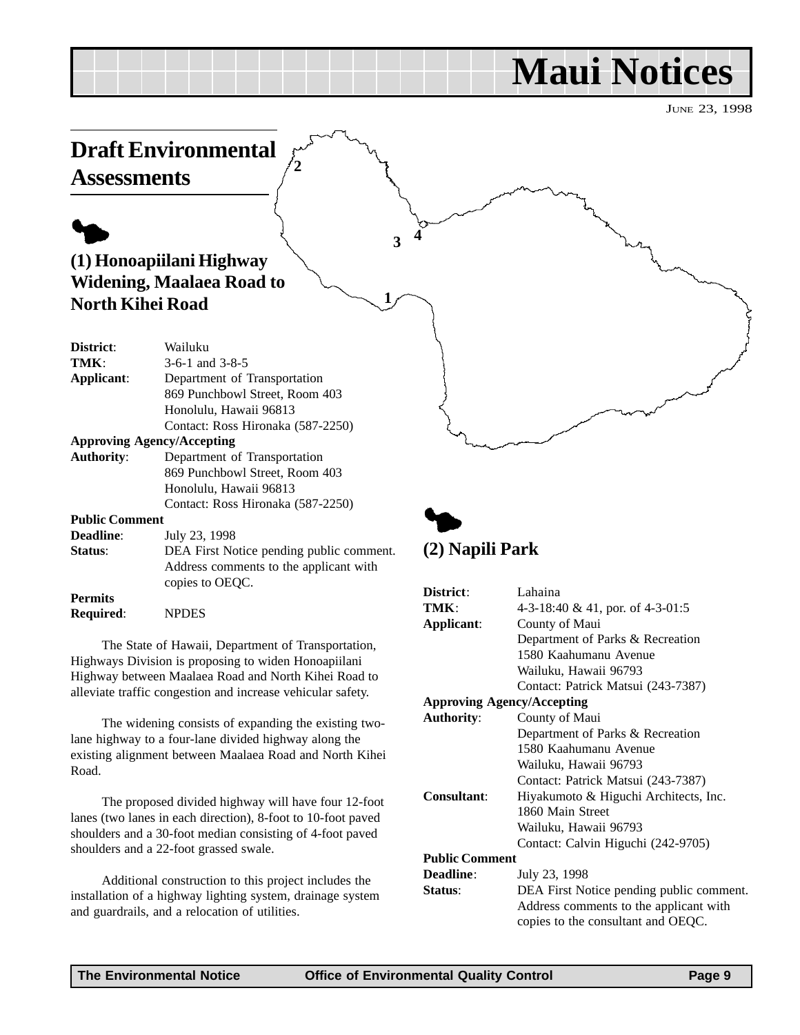# **Maui Notices**

JUNE 23, 1998

<span id="page-8-0"></span>

Highways Division is proposing to widen Honoapiilani Highway between Maalaea Road and North Kihei Road to alleviate traffic congestion and increase vehicular safety.

The widening consists of expanding the existing twolane highway to a four-lane divided highway along the existing alignment between Maalaea Road and North Kihei Road.

The proposed divided highway will have four 12-foot lanes (two lanes in each direction), 8-foot to 10-foot paved shoulders and a 30-foot median consisting of 4-foot paved shoulders and a 22-foot grassed swale.

Additional construction to this project includes the installation of a highway lighting system, drainage system and guardrails, and a relocation of utilities.

| District:                         | Lahaina                                  |
|-----------------------------------|------------------------------------------|
| TMK:                              | 4-3-18:40 & 41, por. of 4-3-01:5         |
| Applicant:                        | County of Maui                           |
|                                   | Department of Parks & Recreation         |
|                                   | 1580 Kaahumanu Avenue                    |
|                                   | Wailuku, Hawaii 96793                    |
|                                   | Contact: Patrick Matsui (243-7387)       |
| <b>Approving Agency/Accepting</b> |                                          |
| <b>Authority:</b>                 | County of Maui                           |
|                                   | Department of Parks & Recreation         |
|                                   | 1580 Kaahumanu Avenue                    |
|                                   | Wailuku, Hawaii 96793                    |
|                                   | Contact: Patrick Matsui (243-7387)       |
| <b>Consultant:</b>                | Hiyakumoto & Higuchi Architects, Inc.    |
|                                   | 1860 Main Street                         |
|                                   | Wailuku, Hawaii 96793                    |
|                                   | Contact: Calvin Higuchi (242-9705)       |
| <b>Public Comment</b>             |                                          |
| <b>Deadline:</b>                  | July 23, 1998                            |
| Status:                           | DEA First Notice pending public comment. |
|                                   | Address comments to the applicant with   |
|                                   | copies to the consultant and OEQC.       |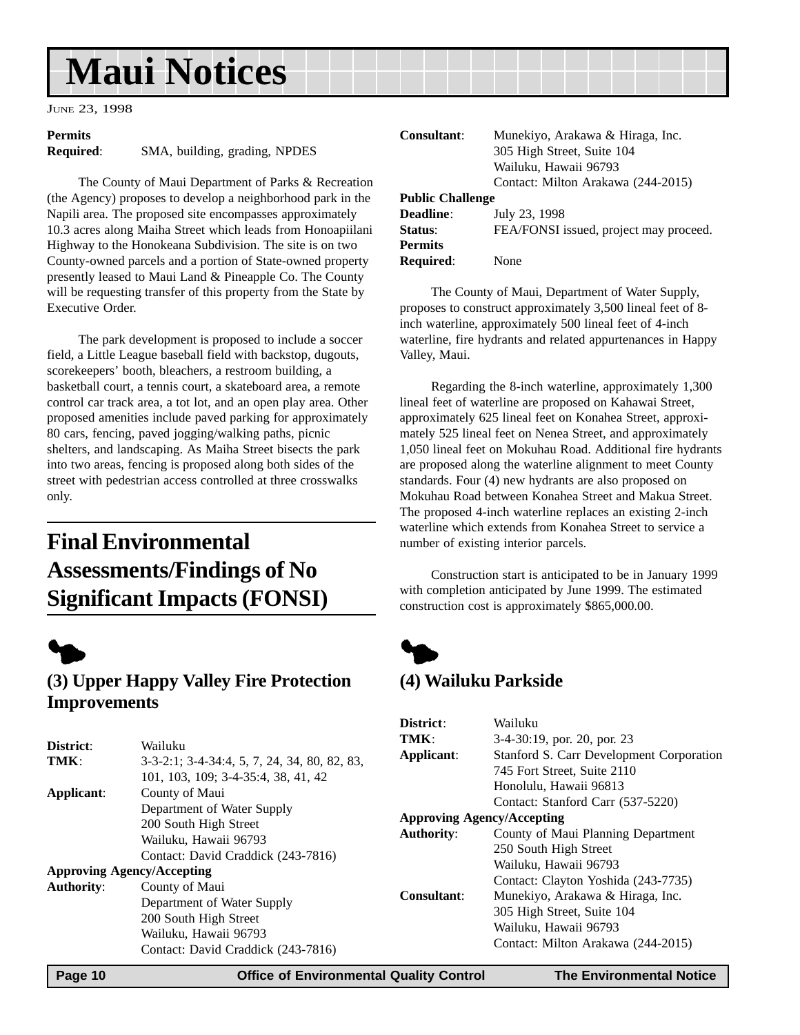# <span id="page-9-0"></span>**Maui Notices**

JUNE 23, 1998

# **Permits**

**Required**: SMA, building, grading, NPDES

The County of Maui Department of Parks & Recreation (the Agency) proposes to develop a neighborhood park in the Napili area. The proposed site encompasses approximately 10.3 acres along Maiha Street which leads from Honoapiilani Highway to the Honokeana Subdivision. The site is on two County-owned parcels and a portion of State-owned property presently leased to Maui Land & Pineapple Co. The County will be requesting transfer of this property from the State by Executive Order.

The park development is proposed to include a soccer field, a Little League baseball field with backstop, dugouts, scorekeepers' booth, bleachers, a restroom building, a basketball court, a tennis court, a skateboard area, a remote control car track area, a tot lot, and an open play area. Other proposed amenities include paved parking for approximately 80 cars, fencing, paved jogging/walking paths, picnic shelters, and landscaping. As Maiha Street bisects the park into two areas, fencing is proposed along both sides of the street with pedestrian access controlled at three crosswalks only.

# **Final Environmental Assessments/Findings of No Significant Impacts (FONSI)**



# **(3) Upper Happy Valley Fire Protection Improvements**

| District:                         | Wailuku                                                                 | T            |
|-----------------------------------|-------------------------------------------------------------------------|--------------|
|                                   |                                                                         | ${\bf A}$    |
| TMK:                              | $3-3-2:1$ ; $3-4-34:4$ , $5$ , $7$ , $24$ , $34$ , $80$ , $82$ , $83$ , |              |
|                                   | 101, 103, 109; 3-4-35:4, 38, 41, 42                                     |              |
| Applicant:                        | County of Maui                                                          |              |
|                                   | Department of Water Supply                                              |              |
|                                   | 200 South High Street                                                   | $\mathbf{A}$ |
|                                   | Wailuku, Hawaii 96793                                                   | $\mathbf{A}$ |
|                                   | Contact: David Craddick (243-7816)                                      |              |
| <b>Approving Agency/Accepting</b> |                                                                         |              |
| <b>Authority:</b>                 | County of Maui                                                          | C.           |
|                                   | Department of Water Supply                                              |              |
|                                   | 200 South High Street                                                   |              |
|                                   | Wailuku, Hawaii 96793                                                   |              |
|                                   | Contact: David Craddick (243-7816)                                      |              |

| Consultant:             | Munekiyo, Arakawa & Hiraga, Inc.       |
|-------------------------|----------------------------------------|
|                         | 305 High Street, Suite 104             |
|                         | Wailuku, Hawaii 96793                  |
|                         | Contact: Milton Arakawa (244-2015)     |
| <b>Public Challenge</b> |                                        |
| Deadline:               | July 23, 1998                          |
| Status:                 | FEA/FONSI issued, project may proceed. |
| <b>Permits</b>          |                                        |
| <b>Required:</b>        | <b>None</b>                            |

The County of Maui, Department of Water Supply, proposes to construct approximately 3,500 lineal feet of 8 inch waterline, approximately 500 lineal feet of 4-inch waterline, fire hydrants and related appurtenances in Happy Valley, Maui.

Regarding the 8-inch waterline, approximately 1,300 lineal feet of waterline are proposed on Kahawai Street, approximately 625 lineal feet on Konahea Street, approximately 525 lineal feet on Nenea Street, and approximately 1,050 lineal feet on Mokuhau Road. Additional fire hydrants are proposed along the waterline alignment to meet County standards. Four (4) new hydrants are also proposed on Mokuhau Road between Konahea Street and Makua Street. The proposed 4-inch waterline replaces an existing 2-inch waterline which extends from Konahea Street to service a number of existing interior parcels.

Construction start is anticipated to be in January 1999 with completion anticipated by June 1999. The estimated construction cost is approximately \$865,000.00.



# **(4) Wailuku Parkside**

| District:                         | Wailuku                                  |  |
|-----------------------------------|------------------------------------------|--|
| TMK:                              | $3-4-30:19$ , por. 20, por. 23           |  |
| Applicant:                        | Stanford S. Carr Development Corporation |  |
|                                   | 745 Fort Street, Suite 2110              |  |
|                                   | Honolulu, Hawaii 96813                   |  |
|                                   | Contact: Stanford Carr (537-5220)        |  |
| <b>Approving Agency/Accepting</b> |                                          |  |
| <b>Authority:</b>                 | County of Maui Planning Department       |  |
|                                   | 250 South High Street                    |  |
|                                   | Wailuku, Hawaii 96793                    |  |
|                                   | Contact: Clayton Yoshida (243-7735)      |  |
| Consultant:                       | Munekiyo, Arakawa & Hiraga, Inc.         |  |
|                                   | 305 High Street, Suite 104               |  |
|                                   | Wailuku, Hawaii 96793                    |  |
|                                   | Contact: Milton Arakawa (244-2015)       |  |
|                                   |                                          |  |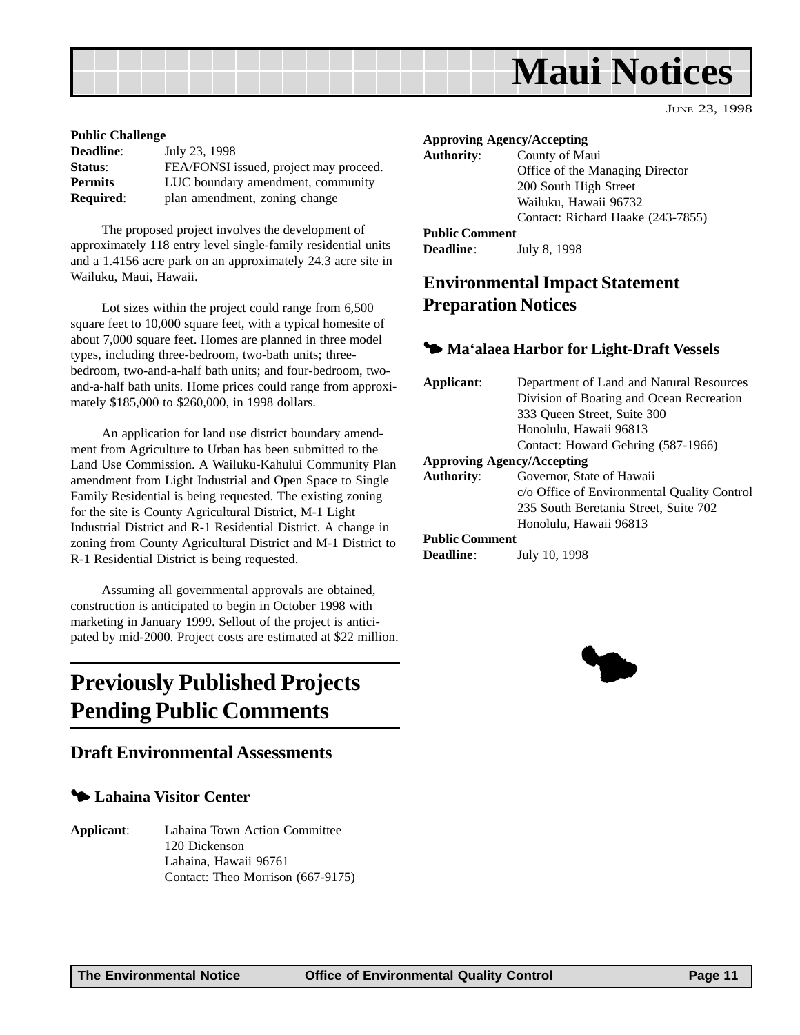

#### <span id="page-10-0"></span>**Public Challenge**

| <b>Deadline:</b> | July 23, 1998                          |
|------------------|----------------------------------------|
| Status:          | FEA/FONSI issued, project may proceed. |
| <b>Permits</b>   | LUC boundary amendment, community      |
| <b>Required:</b> | plan amendment, zoning change          |
|                  |                                        |

The proposed project involves the development of approximately 118 entry level single-family residential units and a 1.4156 acre park on an approximately 24.3 acre site in Wailuku, Maui, Hawaii.

Lot sizes within the project could range from 6,500 square feet to 10,000 square feet, with a typical homesite of about 7,000 square feet. Homes are planned in three model types, including three-bedroom, two-bath units; threebedroom, two-and-a-half bath units; and four-bedroom, twoand-a-half bath units. Home prices could range from approximately \$185,000 to \$260,000, in 1998 dollars.

An application for land use district boundary amendment from Agriculture to Urban has been submitted to the Land Use Commission. A Wailuku-Kahului Community Plan amendment from Light Industrial and Open Space to Single Family Residential is being requested. The existing zoning for the site is County Agricultural District, M-1 Light Industrial District and R-1 Residential District. A change in zoning from County Agricultural District and M-1 District to R-1 Residential District is being requested.

Assuming all governmental approvals are obtained, construction is anticipated to begin in October 1998 with marketing in January 1999. Sellout of the project is anticipated by mid-2000. Project costs are estimated at \$22 million.

# **Previously Published Projects Pending Public Comments**

#### **Draft Environmental Assessments**

#### 3 **Lahaina Visitor Center**

**Applicant**: Lahaina Town Action Committee 120 Dickenson Lahaina, Hawaii 96761 Contact: Theo Morrison (667-9175)

#### **Approving Agency/Accepting**

| <b>Authority:</b>     | County of Maui                    |
|-----------------------|-----------------------------------|
|                       | Office of the Managing Director   |
|                       | 200 South High Street             |
|                       | Wailuku, Hawaii 96732             |
|                       | Contact: Richard Haake (243-7855) |
| <b>Public Comment</b> |                                   |
| <b>Deadline:</b>      | July 8, 1998                      |

### **Environmental Impact Statement Preparation Notices**

#### 3 **Ma'alaea Harbor for Light-Draft Vessels**

| Applicant:                        | Department of Land and Natural Resources    |  |
|-----------------------------------|---------------------------------------------|--|
|                                   | Division of Boating and Ocean Recreation    |  |
|                                   | 333 Oueen Street, Suite 300                 |  |
|                                   | Honolulu, Hawaii 96813                      |  |
|                                   | Contact: Howard Gehring (587-1966)          |  |
| <b>Approving Agency/Accepting</b> |                                             |  |
| <b>Authority:</b>                 | Governor, State of Hawaii                   |  |
|                                   | c/o Office of Environmental Quality Control |  |
|                                   | 235 South Beretania Street, Suite 702       |  |
|                                   | Honolulu, Hawaii 96813                      |  |
| <b>Public Comment</b>             |                                             |  |
| Deadline:                         | July 10, 1998                               |  |

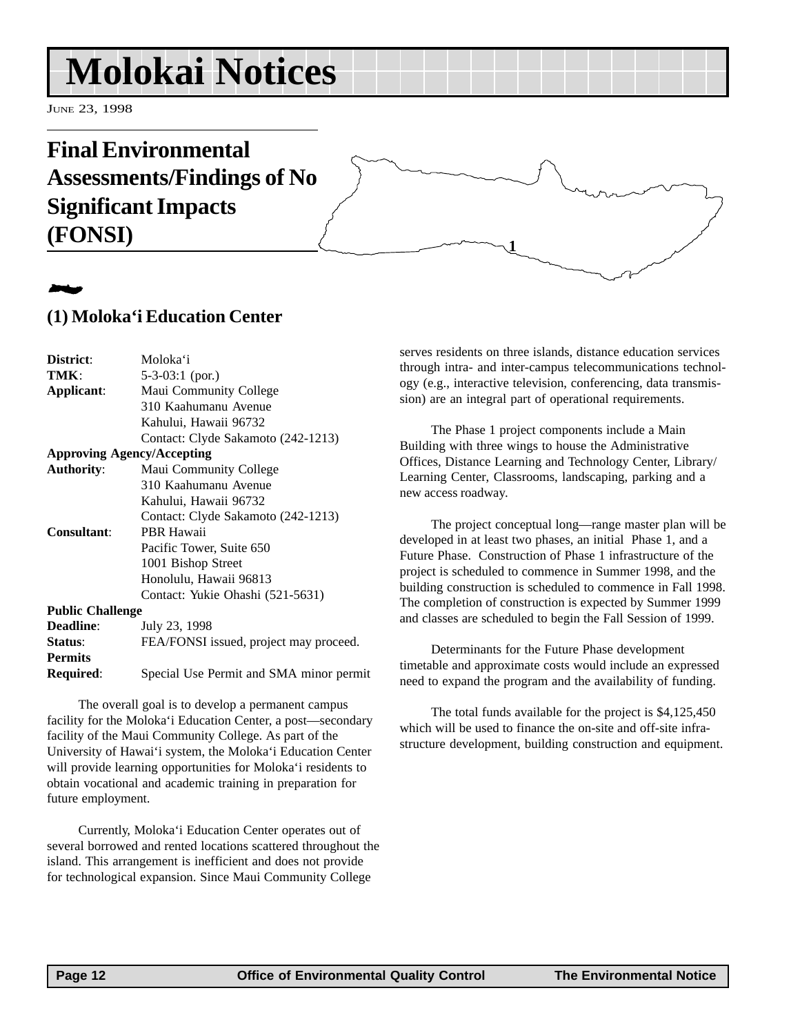# <span id="page-11-0"></span>**Molokai Notices**

JUNE 23, 1998

# **Final Environmental Assessments/Findings of No Significant Impacts (FONSI)**

# 2

### **(1) Moloka'i Education Center**

| District:                         | Moloka'i                               |  |
|-----------------------------------|----------------------------------------|--|
| TMK:                              | 5-3-03:1 (por.)                        |  |
| Applicant:                        | Maui Community College                 |  |
|                                   | 310 Kaahumanu Avenue                   |  |
|                                   | Kahului, Hawaii 96732                  |  |
|                                   | Contact: Clyde Sakamoto (242-1213)     |  |
| <b>Approving Agency/Accepting</b> |                                        |  |
| <b>Authority:</b>                 | Maui Community College                 |  |
|                                   | 310 Kaahumanu Avenue                   |  |
|                                   | Kahului, Hawaii 96732                  |  |
|                                   | Contact: Clyde Sakamoto (242-1213)     |  |
| Consultant:                       | PBR Hawaii                             |  |
|                                   | Pacific Tower, Suite 650               |  |
|                                   | 1001 Bishop Street                     |  |
|                                   | Honolulu, Hawaii 96813                 |  |
|                                   | Contact: Yukie Ohashi (521-5631)       |  |
| <b>Public Challenge</b>           |                                        |  |
| <b>Deadline:</b>                  | July 23, 1998                          |  |
| Status:                           | FEA/FONSI issued, project may proceed. |  |
| <b>Permits</b>                    |                                        |  |

**Required**: Special Use Permit and SMA minor permit

The overall goal is to develop a permanent campus facility for the Moloka'i Education Center, a post—secondary facility of the Maui Community College. As part of the University of Hawai'i system, the Moloka'i Education Center will provide learning opportunities for Moloka'i residents to obtain vocational and academic training in preparation for future employment.

Currently, Moloka'i Education Center operates out of several borrowed and rented locations scattered throughout the island. This arrangement is inefficient and does not provide for technological expansion. Since Maui Community College

serves residents on three islands, distance education services through intra- and inter-campus telecommunications technology (e.g., interactive television, conferencing, data transmission) are an integral part of operational requirements.

**1**

The Phase 1 project components include a Main Building with three wings to house the Administrative Offices, Distance Learning and Technology Center, Library/ Learning Center, Classrooms, landscaping, parking and a new access roadway.

The project conceptual long—range master plan will be developed in at least two phases, an initial Phase 1, and a Future Phase. Construction of Phase 1 infrastructure of the project is scheduled to commence in Summer 1998, and the building construction is scheduled to commence in Fall 1998. The completion of construction is expected by Summer 1999 and classes are scheduled to begin the Fall Session of 1999.

Determinants for the Future Phase development timetable and approximate costs would include an expressed need to expand the program and the availability of funding.

The total funds available for the project is \$4,125,450 which will be used to finance the on-site and off-site infrastructure development, building construction and equipment.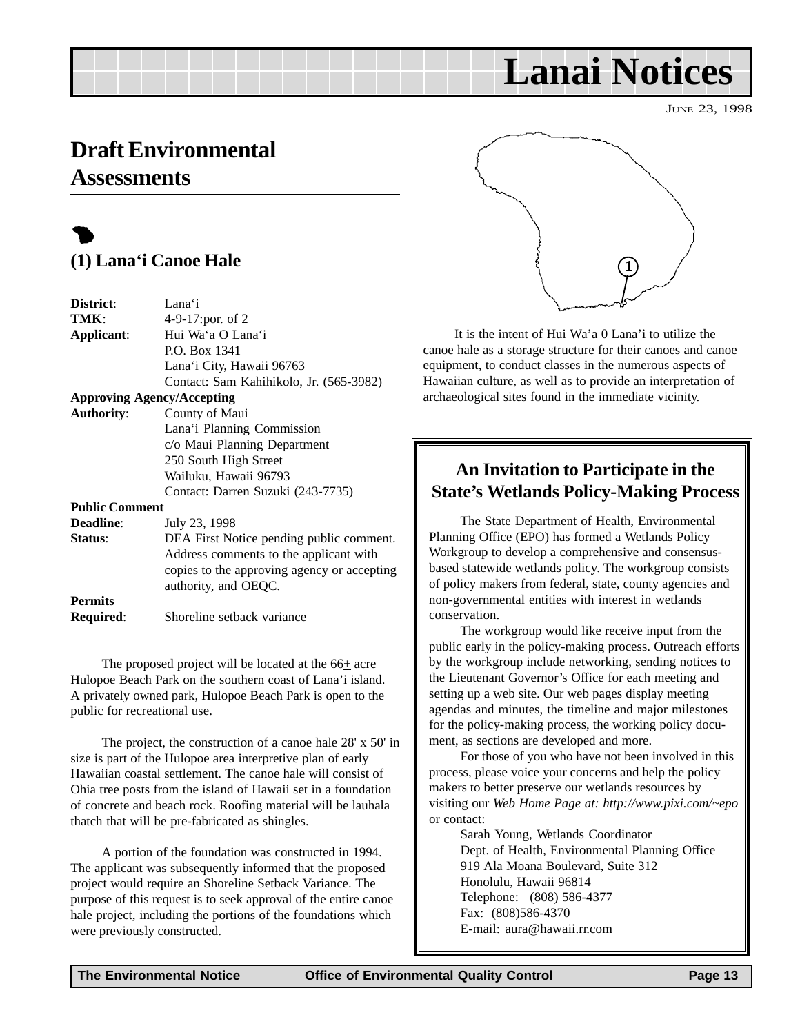# <span id="page-12-0"></span>**Draft Environmental Assessments**

# $\bullet$ **(1) Lana'i Canoe Hale**

| District:             | Lana'i                                      |
|-----------------------|---------------------------------------------|
| TMK:                  | 4-9-17:por. of 2                            |
| Applicant:            | Hui Wa'a O Lana'i                           |
|                       | P.O. Box 1341                               |
|                       | Lana'i City, Hawaii 96763                   |
|                       | Contact: Sam Kahihikolo, Jr. (565-3982)     |
|                       | <b>Approving Agency/Accepting</b>           |
| <b>Authority:</b>     | County of Maui                              |
|                       | Lana'i Planning Commission                  |
|                       | c/o Maui Planning Department                |
|                       | 250 South High Street                       |
|                       | Wailuku, Hawaii 96793                       |
|                       | Contact: Darren Suzuki (243-7735)           |
| <b>Public Comment</b> |                                             |
| <b>Deadline:</b>      | July 23, 1998                               |
| Status:               | DEA First Notice pending public comment.    |
|                       | Address comments to the applicant with      |
|                       | copies to the approving agency or accepting |
|                       | authority, and OEQC.                        |
| <b>Permits</b>        |                                             |
| <b>Required:</b>      | Shoreline setback variance                  |

The proposed project will be located at the  $66<sub>±</sub>$  acre Hulopoe Beach Park on the southern coast of Lana'i island. A privately owned park, Hulopoe Beach Park is open to the public for recreational use.

The project, the construction of a canoe hale 28' x 50' in size is part of the Hulopoe area interpretive plan of early Hawaiian coastal settlement. The canoe hale will consist of Ohia tree posts from the island of Hawaii set in a foundation of concrete and beach rock. Roofing material will be lauhala thatch that will be pre-fabricated as shingles.

A portion of the foundation was constructed in 1994. The applicant was subsequently informed that the proposed project would require an Shoreline Setback Variance. The purpose of this request is to seek approval of the entire canoe hale project, including the portions of the foundations which were previously constructed.



**Lanai Notices**

It is the intent of Hui Wa'a 0 Lana'i to utilize the canoe hale as a storage structure for their canoes and canoe equipment, to conduct classes in the numerous aspects of Hawaiian culture, as well as to provide an interpretation of archaeological sites found in the immediate vicinity.

## **An Invitation to Participate in the State's Wetlands Policy-Making Process**

The State Department of Health, Environmental Planning Office (EPO) has formed a Wetlands Policy Workgroup to develop a comprehensive and consensusbased statewide wetlands policy. The workgroup consists of policy makers from federal, state, county agencies and non-governmental entities with interest in wetlands conservation.

The workgroup would like receive input from the public early in the policy-making process. Outreach efforts by the workgroup include networking, sending notices to the Lieutenant Governor's Office for each meeting and setting up a web site. Our web pages display meeting agendas and minutes, the timeline and major milestones for the policy-making process, the working policy document, as sections are developed and more.

For those of you who have not been involved in this process, please voice your concerns and help the policy makers to better preserve our wetlands resources by visiting our *Web Home Page at: http://www.pixi.com/~epo* or contact:

Sarah Young, Wetlands Coordinator Dept. of Health, Environmental Planning Office 919 Ala Moana Boulevard, Suite 312 Honolulu, Hawaii 96814 Telephone: (808) 586-4377 Fax: (808)586-4370 E-mail: aura@hawaii.rr.com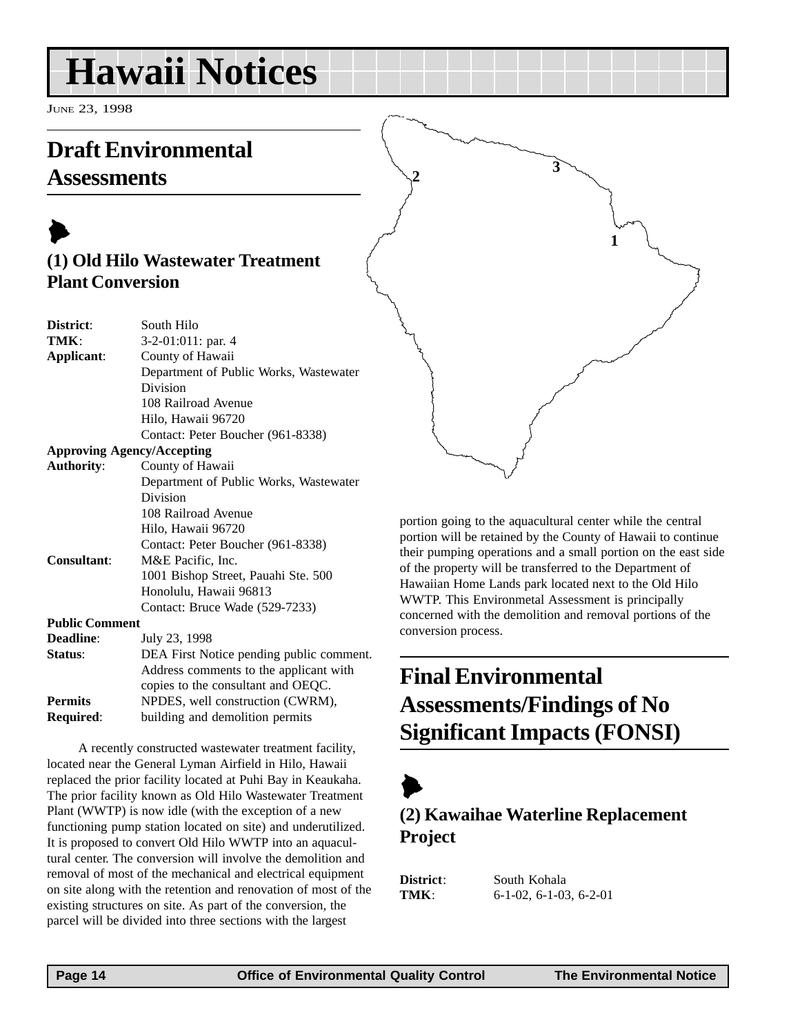# <span id="page-13-0"></span>**Hawaii Notices**

JUNE 23, 1998

# **Draft Environmental Assessments**

# $\blacktriangleright$ **(1) Old Hilo Wastewater Treatment Plant Conversion**

| District:             | South Hilo                               |
|-----------------------|------------------------------------------|
| TMK:                  | 3-2-01:011: par. 4                       |
| Applicant:            | County of Hawaii                         |
|                       | Department of Public Works, Wastewater   |
|                       | Division                                 |
|                       | 108 Railroad Avenue                      |
|                       | Hilo, Hawaii 96720                       |
|                       | Contact: Peter Boucher (961-8338)        |
|                       | <b>Approving Agency/Accepting</b>        |
| <b>Authority:</b>     | County of Hawaii                         |
|                       | Department of Public Works, Wastewater   |
|                       | Division                                 |
|                       | 108 Railroad Avenue                      |
|                       | Hilo, Hawaii 96720                       |
|                       | Contact: Peter Boucher (961-8338)        |
| <b>Consultant:</b>    | M&E Pacific, Inc.                        |
|                       | 1001 Bishop Street, Pauahi Ste. 500      |
|                       | Honolulu, Hawaii 96813                   |
|                       | Contact: Bruce Wade (529-7233)           |
| <b>Public Comment</b> |                                          |
| Deadline:             | July 23, 1998                            |
| Status:               | DEA First Notice pending public comment. |
|                       | Address comments to the applicant with   |
|                       | copies to the consultant and OEQC.       |
| <b>Permits</b>        | NPDES, well construction (CWRM),         |
| Required:             | building and demolition permits          |

A recently constructed wastewater treatment facility, located near the General Lyman Airfield in Hilo, Hawaii replaced the prior facility located at Puhi Bay in Keaukaha. The prior facility known as Old Hilo Wastewater Treatment Plant (WWTP) is now idle (with the exception of a new functioning pump station located on site) and underutilized. It is proposed to convert Old Hilo WWTP into an aquacultural center. The conversion will involve the demolition and removal of most of the mechanical and electrical equipment on site along with the retention and renovation of most of the existing structures on site. As part of the conversion, the parcel will be divided into three sections with the largest

**<sup>2</sup> <sup>3</sup> 1**

portion going to the aquacultural center while the central portion will be retained by the County of Hawaii to continue their pumping operations and a small portion on the east side of the property will be transferred to the Department of Hawaiian Home Lands park located next to the Old Hilo WWTP. This Environmetal Assessment is principally concerned with the demolition and removal portions of the conversion process.

# **Final Environmental Assessments/Findings of No Significant Impacts (FONSI)**

# $\blacktriangleright$

# **(2) Kawaihae Waterline Replacement Project**

**District**: South Kohala **TMK**: 6-1-02, 6-1-03, 6-2-01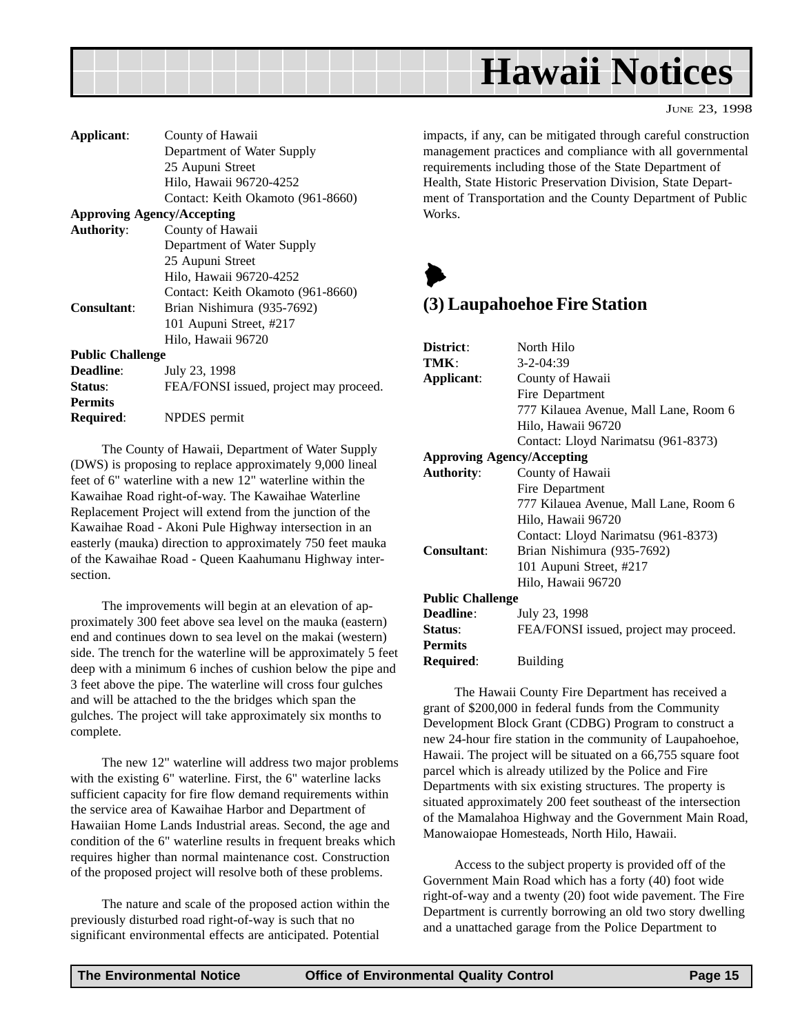<span id="page-14-0"></span>

|  | JUNE 23, 1998 |
|--|---------------|
|  |               |

| Applicant:                        | County of Hawaii                       |
|-----------------------------------|----------------------------------------|
|                                   | Department of Water Supply             |
|                                   | 25 Aupuni Street                       |
|                                   | Hilo, Hawaii 96720-4252                |
|                                   | Contact: Keith Okamoto (961-8660)      |
| <b>Approving Agency/Accepting</b> |                                        |
| <b>Authority:</b>                 | County of Hawaii                       |
|                                   | Department of Water Supply             |
|                                   | 25 Aupuni Street                       |
|                                   | Hilo, Hawaii 96720-4252                |
|                                   | Contact: Keith Okamoto (961-8660)      |
| Consultant:                       | Brian Nishimura (935-7692)             |
|                                   | 101 Aupuni Street, #217                |
|                                   | Hilo, Hawaii 96720                     |
| <b>Public Challenge</b>           |                                        |
| <b>Deadline:</b>                  | July 23, 1998                          |
| Status:                           | FEA/FONSI issued, project may proceed. |
| <b>Permits</b>                    |                                        |
| Required:                         | NPDES permit                           |

The County of Hawaii, Department of Water Supply (DWS) is proposing to replace approximately 9,000 lineal feet of 6" waterline with a new 12" waterline within the Kawaihae Road right-of-way. The Kawaihae Waterline Replacement Project will extend from the junction of the Kawaihae Road - Akoni Pule Highway intersection in an easterly (mauka) direction to approximately 750 feet mauka of the Kawaihae Road - Queen Kaahumanu Highway intersection.

The improvements will begin at an elevation of approximately 300 feet above sea level on the mauka (eastern) end and continues down to sea level on the makai (western) side. The trench for the waterline will be approximately 5 feet deep with a minimum 6 inches of cushion below the pipe and 3 feet above the pipe. The waterline will cross four gulches and will be attached to the the bridges which span the gulches. The project will take approximately six months to complete.

The new 12" waterline will address two major problems with the existing 6" waterline. First, the 6" waterline lacks sufficient capacity for fire flow demand requirements within the service area of Kawaihae Harbor and Department of Hawaiian Home Lands Industrial areas. Second, the age and condition of the 6" waterline results in frequent breaks which requires higher than normal maintenance cost. Construction of the proposed project will resolve both of these problems.

The nature and scale of the proposed action within the previously disturbed road right-of-way is such that no significant environmental effects are anticipated. Potential

impacts, if any, can be mitigated through careful construction management practices and compliance with all governmental requirements including those of the State Department of Health, State Historic Preservation Division, State Department of Transportation and the County Department of Public Works.



### **(3) Laupahoehoe Fire Station**

| District:                         | North Hilo                             |  |
|-----------------------------------|----------------------------------------|--|
| TMK:                              | $3 - 2 - 04:39$                        |  |
| Applicant:                        | County of Hawaii                       |  |
|                                   | Fire Department                        |  |
|                                   | 777 Kilauea Avenue, Mall Lane, Room 6  |  |
|                                   | Hilo, Hawaii 96720                     |  |
|                                   | Contact: Lloyd Narimatsu (961-8373)    |  |
| <b>Approving Agency/Accepting</b> |                                        |  |
| <b>Authority:</b>                 | County of Hawaii                       |  |
|                                   | Fire Department                        |  |
|                                   | 777 Kilauea Avenue, Mall Lane, Room 6  |  |
|                                   | Hilo, Hawaii 96720                     |  |
|                                   | Contact: Lloyd Narimatsu (961-8373)    |  |
| Consultant:                       | Brian Nishimura (935-7692)             |  |
|                                   | 101 Aupuni Street, #217                |  |
|                                   | Hilo, Hawaii 96720                     |  |
| <b>Public Challenge</b>           |                                        |  |
| Deadline:                         | July 23, 1998                          |  |
| Status:                           | FEA/FONSI issued, project may proceed. |  |
| <b>Permits</b>                    |                                        |  |
| Required:                         | <b>Building</b>                        |  |

The Hawaii County Fire Department has received a grant of \$200,000 in federal funds from the Community Development Block Grant (CDBG) Program to construct a new 24-hour fire station in the community of Laupahoehoe, Hawaii. The project will be situated on a 66,755 square foot parcel which is already utilized by the Police and Fire Departments with six existing structures. The property is situated approximately 200 feet southeast of the intersection of the Mamalahoa Highway and the Government Main Road, Manowaiopae Homesteads, North Hilo, Hawaii.

Access to the subject property is provided off of the Government Main Road which has a forty (40) foot wide right-of-way and a twenty (20) foot wide pavement. The Fire Department is currently borrowing an old two story dwelling and a unattached garage from the Police Department to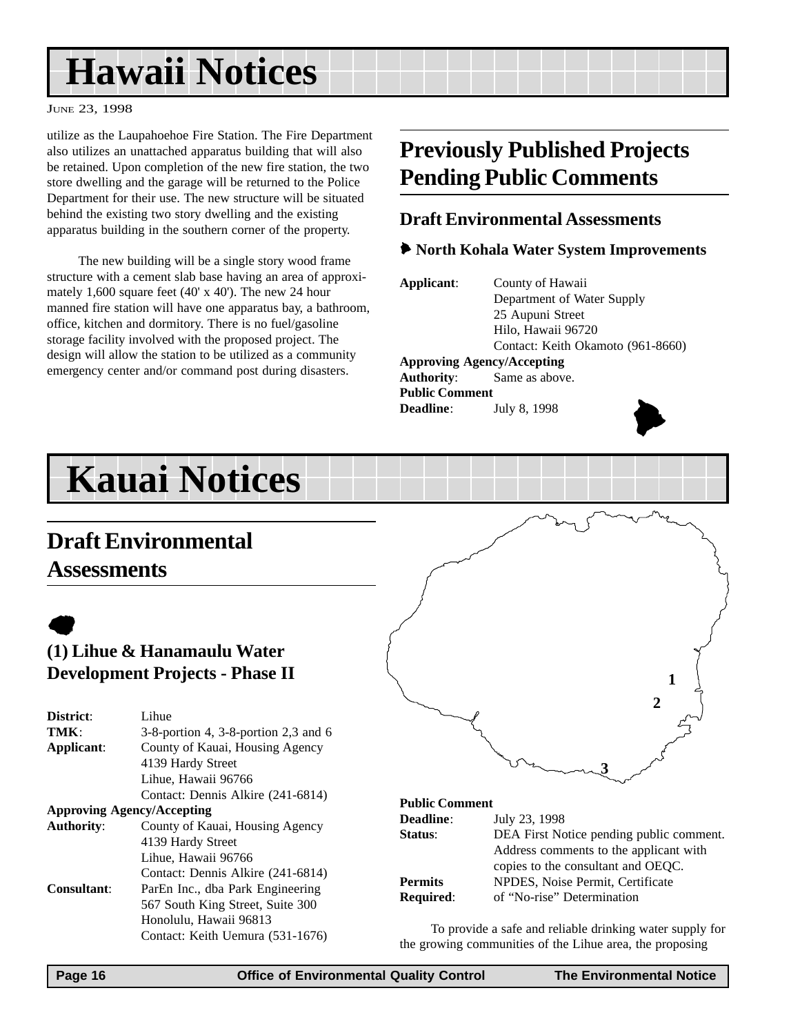# **Hawaii Notices**

#### JUNE 23, 1998

utilize as the Laupahoehoe Fire Station. The Fire Department also utilizes an unattached apparatus building that will also be retained. Upon completion of the new fire station, the two store dwelling and the garage will be returned to the Police Department for their use. The new structure will be situated behind the existing two story dwelling and the existing apparatus building in the southern corner of the property.

The new building will be a single story wood frame structure with a cement slab base having an area of approximately 1,600 square feet (40' x 40'). The new 24 hour manned fire station will have one apparatus bay, a bathroom, office, kitchen and dormitory. There is no fuel/gasoline storage facility involved with the proposed project. The design will allow the station to be utilized as a community emergency center and/or command post during disasters.

# **Previously Published Projects Pending Public Comments**

### **Draft Environmental Assessments**

### 6 **North Kohala Water System Improvements**

**Applicant**: County of Hawaii Department of Water Supply 25 Aupuni Street Hilo, Hawaii 96720 Contact: Keith Okamoto (961-8660) **Approving Agency/Accepting Authority**: Same as above. **Public Comment Deadline**: July 8, 1998



# **Kauai Notices**

# **Draft Environmental Assessments**

# $\bullet$

### **(1) Lihue & Hanamaulu Water Development Projects - Phase II**

| District:                         | Lihue                                      |  |
|-----------------------------------|--------------------------------------------|--|
| TMK                               | $3-8$ -portion 4, $3-8$ -portion 2,3 and 6 |  |
| Applicant:                        | County of Kauai, Housing Agency            |  |
|                                   | 4139 Hardy Street                          |  |
|                                   | Lihue, Hawaii 96766                        |  |
|                                   | Contact: Dennis Alkire (241-6814)          |  |
| <b>Approving Agency/Accepting</b> |                                            |  |
| <b>Authority:</b>                 | County of Kauai, Housing Agency            |  |
|                                   | 4139 Hardy Street                          |  |
|                                   | Lihue, Hawaii 96766                        |  |
|                                   | Contact: Dennis Alkire (241-6814)          |  |
| <b>Consultant:</b>                | ParEn Inc., dba Park Engineering           |  |
|                                   | 567 South King Street, Suite 300           |  |
|                                   | Honolulu, Hawaii 96813                     |  |
|                                   | Contact: Keith Uemura (531-1676)           |  |



#### **Public Comment**

| <b>Deadline:</b> | July 23, 1998                            |
|------------------|------------------------------------------|
| Status:          | DEA First Notice pending public comment. |
|                  | Address comments to the applicant with   |
|                  | copies to the consultant and OEQC.       |
| <b>Permits</b>   | NPDES, Noise Permit, Certificate         |
| <b>Required:</b> | of "No-rise" Determination               |

To provide a safe and reliable drinking water supply for the growing communities of the Lihue area, the proposing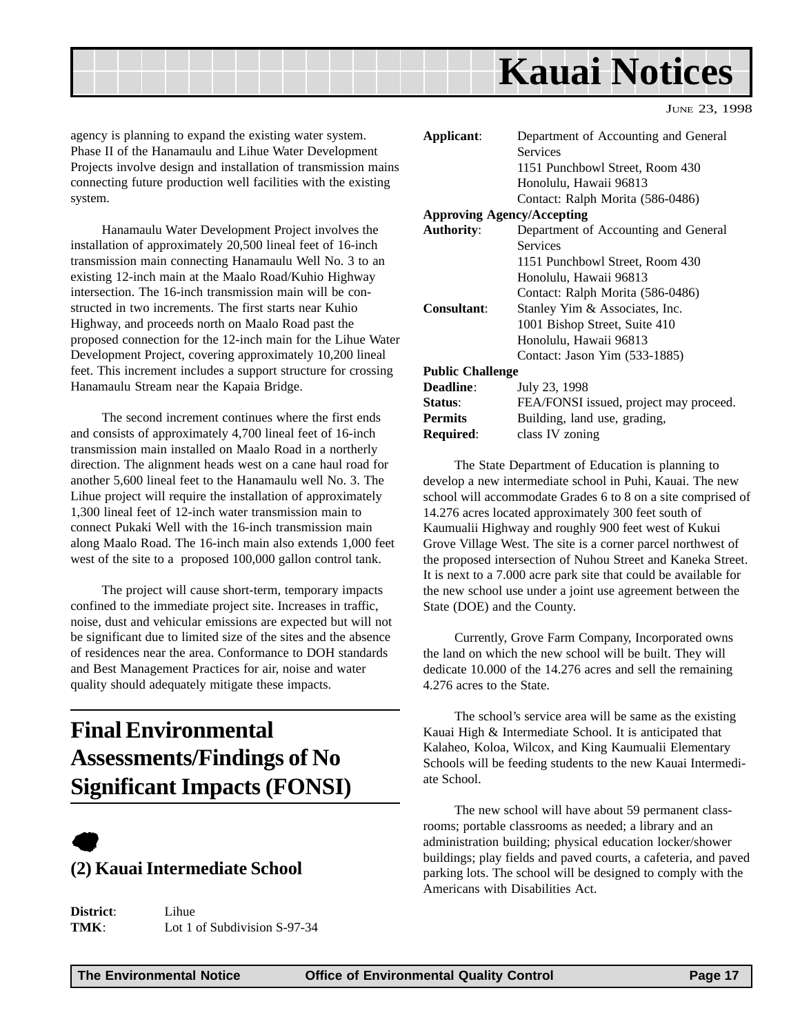<span id="page-16-0"></span>

agency is planning to expand the existing water system. Phase II of the Hanamaulu and Lihue Water Development Projects involve design and installation of transmission mains connecting future production well facilities with the existing system.

Hanamaulu Water Development Project involves the installation of approximately 20,500 lineal feet of 16-inch transmission main connecting Hanamaulu Well No. 3 to an existing 12-inch main at the Maalo Road/Kuhio Highway intersection. The 16-inch transmission main will be constructed in two increments. The first starts near Kuhio Highway, and proceeds north on Maalo Road past the proposed connection for the 12-inch main for the Lihue Water Development Project, covering approximately 10,200 lineal feet. This increment includes a support structure for crossing Hanamaulu Stream near the Kapaia Bridge.

The second increment continues where the first ends and consists of approximately 4,700 lineal feet of 16-inch transmission main installed on Maalo Road in a northerly direction. The alignment heads west on a cane haul road for another 5,600 lineal feet to the Hanamaulu well No. 3. The Lihue project will require the installation of approximately 1,300 lineal feet of 12-inch water transmission main to connect Pukaki Well with the 16-inch transmission main along Maalo Road. The 16-inch main also extends 1,000 feet west of the site to a proposed 100,000 gallon control tank.

The project will cause short-term, temporary impacts confined to the immediate project site. Increases in traffic, noise, dust and vehicular emissions are expected but will not be significant due to limited size of the sites and the absence of residences near the area. Conformance to DOH standards and Best Management Practices for air, noise and water quality should adequately mitigate these impacts.

# **Final Environmental Assessments/Findings of No Significant Impacts (FONSI)**

# $\bullet$

### **(2) Kauai Intermediate School**

| District: | Lihue                          |
|-----------|--------------------------------|
| TMK:      | Lot 1 of Subdivision $S-97-34$ |

| Applicant:                        | Department of Accounting and General   |  |  |
|-----------------------------------|----------------------------------------|--|--|
|                                   | <b>Services</b>                        |  |  |
|                                   | 1151 Punchbowl Street, Room 430        |  |  |
|                                   | Honolulu, Hawaii 96813                 |  |  |
|                                   | Contact: Ralph Morita (586-0486)       |  |  |
| <b>Approving Agency/Accepting</b> |                                        |  |  |
| <b>Authority:</b>                 | Department of Accounting and General   |  |  |
|                                   | <b>Services</b>                        |  |  |
|                                   | 1151 Punchbowl Street, Room 430        |  |  |
|                                   | Honolulu, Hawaii 96813                 |  |  |
|                                   | Contact: Ralph Morita (586-0486)       |  |  |
| Consultant:                       | Stanley Yim & Associates, Inc.         |  |  |
|                                   | 1001 Bishop Street, Suite 410          |  |  |
|                                   | Honolulu, Hawaii 96813                 |  |  |
|                                   | Contact: Jason Yim (533-1885)          |  |  |
| <b>Public Challenge</b>           |                                        |  |  |
| <b>Deadline:</b>                  | July 23, 1998                          |  |  |
| Status:                           | FEA/FONSI issued, project may proceed. |  |  |
| <b>Permits</b>                    | Building, land use, grading,           |  |  |
| Required:                         | class IV zoning                        |  |  |
|                                   |                                        |  |  |

The State Department of Education is planning to develop a new intermediate school in Puhi, Kauai. The new school will accommodate Grades 6 to 8 on a site comprised of 14.276 acres located approximately 300 feet south of Kaumualii Highway and roughly 900 feet west of Kukui Grove Village West. The site is a corner parcel northwest of the proposed intersection of Nuhou Street and Kaneka Street. It is next to a 7.000 acre park site that could be available for the new school use under a joint use agreement between the State (DOE) and the County.

Currently, Grove Farm Company, Incorporated owns the land on which the new school will be built. They will dedicate 10.000 of the 14.276 acres and sell the remaining 4.276 acres to the State.

The school's service area will be same as the existing Kauai High & Intermediate School. It is anticipated that Kalaheo, Koloa, Wilcox, and King Kaumualii Elementary Schools will be feeding students to the new Kauai Intermediate School.

The new school will have about 59 permanent classrooms; portable classrooms as needed; a library and an administration building; physical education locker/shower buildings; play fields and paved courts, a cafeteria, and paved parking lots. The school will be designed to comply with the Americans with Disabilities Act.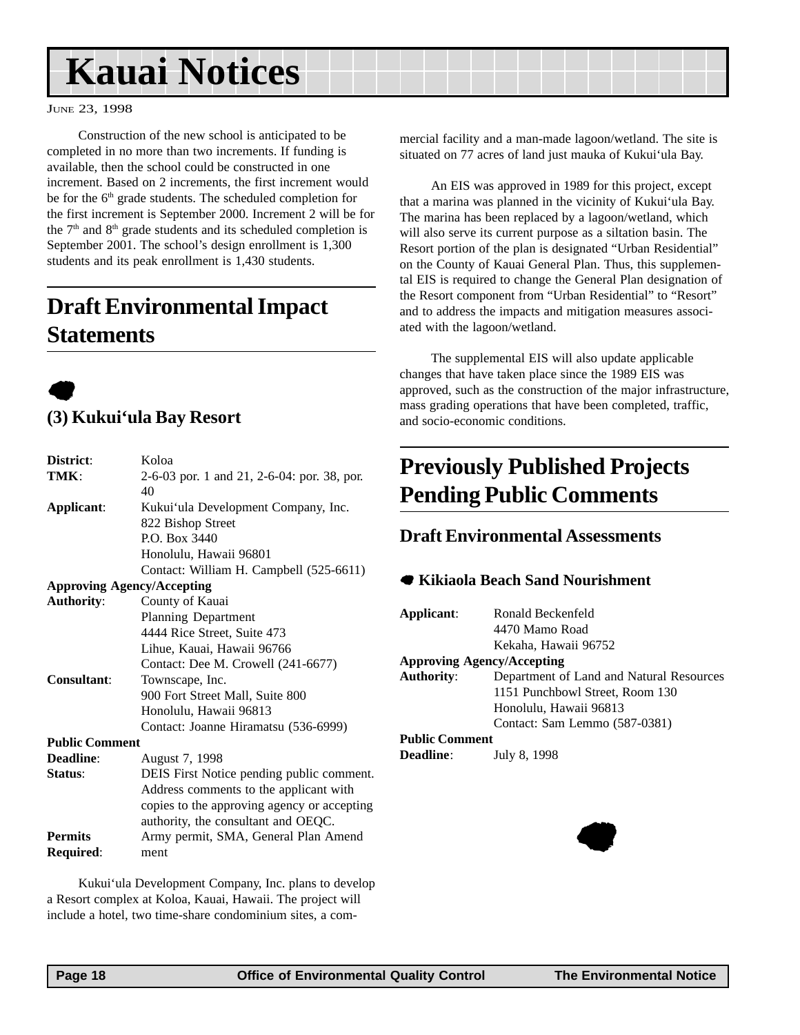# <span id="page-17-0"></span>**Kauai Notices**

#### JUNE 23, 1998

Construction of the new school is anticipated to be completed in no more than two increments. If funding is available, then the school could be constructed in one increment. Based on 2 increments, the first increment would be for the 6<sup>th</sup> grade students. The scheduled completion for the first increment is September 2000. Increment 2 will be for the 7<sup>th</sup> and 8<sup>th</sup> grade students and its scheduled completion is September 2001. The school's design enrollment is 1,300 students and its peak enrollment is 1,430 students.

# **Draft Environmental Impact Statements**



## **(3) Kukui'ula Bay Resort**

| District:             | Koloa                                       |  |  |
|-----------------------|---------------------------------------------|--|--|
| TMK:                  | 2-6-03 por. 1 and 21, 2-6-04: por. 38, por. |  |  |
|                       | 40                                          |  |  |
| Applicant:            | Kukui'ula Development Company, Inc.         |  |  |
|                       | 822 Bishop Street                           |  |  |
|                       | P.O. Box 3440                               |  |  |
|                       | Honolulu, Hawaii 96801                      |  |  |
|                       | Contact: William H. Campbell (525-6611)     |  |  |
|                       | <b>Approving Agency/Accepting</b>           |  |  |
| <b>Authority:</b>     | County of Kauai                             |  |  |
|                       | <b>Planning Department</b>                  |  |  |
|                       | 4444 Rice Street, Suite 473                 |  |  |
|                       | Lihue, Kauai, Hawaii 96766                  |  |  |
|                       | Contact: Dee M. Crowell (241-6677)          |  |  |
| <b>Consultant:</b>    | Townscape, Inc.                             |  |  |
|                       | 900 Fort Street Mall, Suite 800             |  |  |
|                       | Honolulu, Hawaii 96813                      |  |  |
|                       | Contact: Joanne Hiramatsu (536-6999)        |  |  |
| <b>Public Comment</b> |                                             |  |  |
| Deadline:             | August 7, 1998                              |  |  |
| Status:               | DEIS First Notice pending public comment.   |  |  |
|                       | Address comments to the applicant with      |  |  |
|                       | copies to the approving agency or accepting |  |  |
|                       | authority, the consultant and OEQC.         |  |  |
| <b>Permits</b>        | Army permit, SMA, General Plan Amend        |  |  |
| Required:             | ment                                        |  |  |

Kukui'ula Development Company, Inc. plans to develop a Resort complex at Koloa, Kauai, Hawaii. The project will include a hotel, two time-share condominium sites, a commercial facility and a man-made lagoon/wetland. The site is situated on 77 acres of land just mauka of Kukui'ula Bay.

An EIS was approved in 1989 for this project, except that a marina was planned in the vicinity of Kukui'ula Bay. The marina has been replaced by a lagoon/wetland, which will also serve its current purpose as a siltation basin. The Resort portion of the plan is designated "Urban Residential" on the County of Kauai General Plan. Thus, this supplemental EIS is required to change the General Plan designation of the Resort component from "Urban Residential" to "Resort" and to address the impacts and mitigation measures associated with the lagoon/wetland.

The supplemental EIS will also update applicable changes that have taken place since the 1989 EIS was approved, such as the construction of the major infrastructure, mass grading operations that have been completed, traffic, and socio-economic conditions.

# **Previously Published Projects Pending Public Comments**

### **Draft Environmental Assessments**

#### 7 **Kikiaola Beach Sand Nourishment**

**Applicant**: Ronald Beckenfeld 4470 Mamo Road Kekaha, Hawaii 96752 **Approving Agency/Accepting Authority**: Department of Land and Natural Resources 1151 Punchbowl Street, Room 130 Honolulu, Hawaii 96813 Contact: Sam Lemmo (587-0381) **Public Comment**

**Deadline**: July 8, 1998

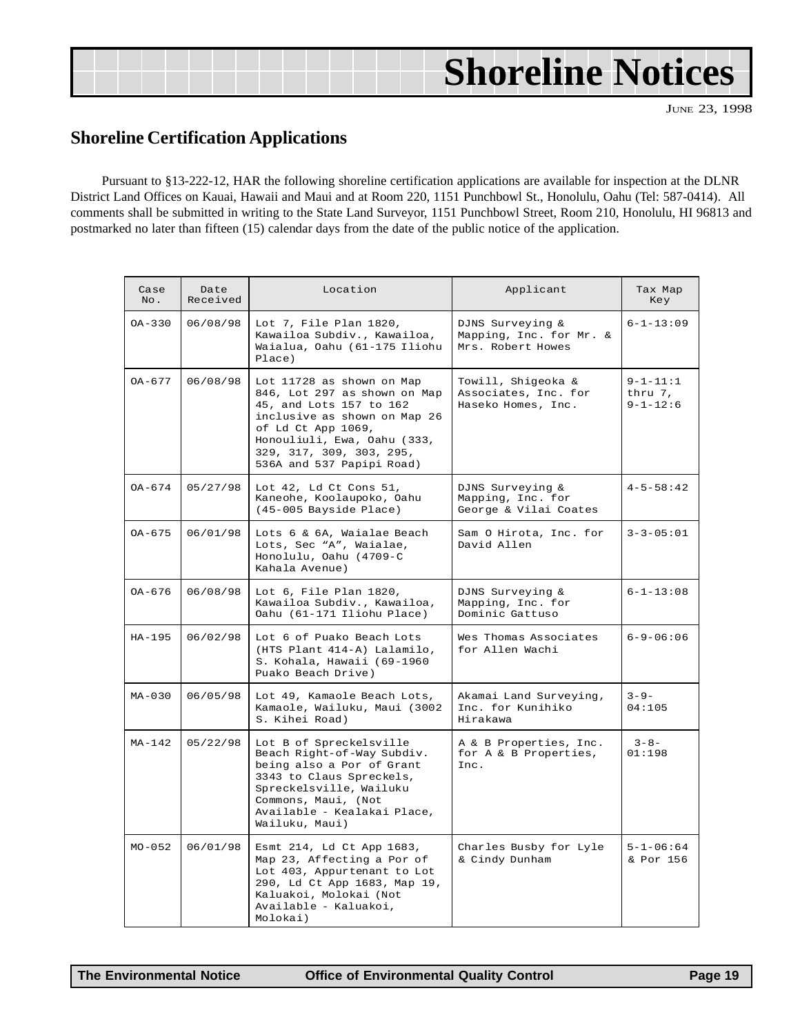| <b>Shoreline Notices</b> |
|--------------------------|
|                          |

## **Shoreline Certification Applications**

Pursuant to §13-222-12, HAR the following shoreline certification applications are available for inspection at the DLNR District Land Offices on Kauai, Hawaii and Maui and at Room 220, 1151 Punchbowl St., Honolulu, Oahu (Tel: 587-0414). All comments shall be submitted in writing to the State Land Surveyor, 1151 Punchbowl Street, Room 210, Honolulu, HI 96813 and postmarked no later than fifteen (15) calendar days from the date of the public notice of the application.

| Case<br>No. | Date<br>Received | Location                                                                                                                                                                                                                                                                                               | Applicant                                                        | Tax Map<br>Key                              |
|-------------|------------------|--------------------------------------------------------------------------------------------------------------------------------------------------------------------------------------------------------------------------------------------------------------------------------------------------------|------------------------------------------------------------------|---------------------------------------------|
| $OA - 330$  | 06/08/98         | Lot 7, File Plan 1820,<br>Kawailoa Subdiv., Kawailoa,<br>Waialua, Oahu (61-175 Iliohu<br>Place)                                                                                                                                                                                                        | DJNS Surveying &<br>Mapping, Inc. for Mr. &<br>Mrs. Robert Howes |                                             |
| $OA - 677$  | 06/08/98         | Towill, Shigeoka &<br>Lot 11728 as shown on Map<br>846, Lot 297 as shown on Map<br>Associates, Inc. for<br>45, and Lots 157 to 162<br>Haseko Homes, Inc.<br>inclusive as shown on Map 26<br>of Ld Ct App 1069,<br>Honouliuli, Ewa, Oahu (333,<br>329, 317, 309, 303, 295,<br>536A and 537 Papipi Road) |                                                                  | $9 - 1 - 11:1$<br>thru 7,<br>$9 - 1 - 12:6$ |
| $OA - 674$  | 05/27/98         | Lot 42, Ld Ct Cons 51,<br>Kaneohe, Koolaupoko, Oahu<br>(45-005 Bayside Place)                                                                                                                                                                                                                          | DJNS Surveying &<br>Mapping, Inc. for<br>George & Vilai Coates   | $4 - 5 - 58:42$                             |
| OA-675      | 06/01/98         | Lots 6 & 6A, Waialae Beach<br>Lots, Sec "A", Waialae,<br>Honolulu, Oahu (4709-C<br>Kahala Avenue)                                                                                                                                                                                                      | Sam O Hirota, Inc. for<br>David Allen                            | $3 - 3 - 05:01$                             |
| OA-676      | 06/08/98         | Lot 6, File Plan 1820,<br>Kawailoa Subdiv., Kawailoa,<br>Oahu (61-171 Iliohu Place)                                                                                                                                                                                                                    | DJNS Surveying &<br>Mapping, Inc. for<br>Dominic Gattuso         | $6 - 1 - 13:08$                             |
| $HA-195$    | 06/02/98         | Lot 6 of Puako Beach Lots<br>(HTS Plant 414-A) Lalamilo,<br>S. Kohala, Hawaii (69-1960<br>Puako Beach Drive)                                                                                                                                                                                           | Wes Thomas Associates<br>for Allen Wachi                         | $6 - 9 - 06:06$                             |
| $MA-030$    | 06/05/98         | Lot 49, Kamaole Beach Lots,<br>Kamaole, Wailuku, Maui (3002<br>S. Kihei Road)                                                                                                                                                                                                                          | Akamai Land Surveying,<br>Inc. for Kunihiko<br>Hirakawa          | $3 - 9 -$<br>04:105                         |
| $MA-142$    | 05/22/98         | Lot B of Spreckelsville<br>Beach Right-of-Way Subdiv.<br>being also a Por of Grant<br>3343 to Claus Spreckels,<br>Spreckelsville, Wailuku<br>Commons, Maui, (Not<br>Available - Kealakai Place,<br>Wailuku, Maui)                                                                                      | A & B Properties, Inc.<br>for A & B Properties,<br>Inc.          | $3 - 8 -$<br>01:198                         |
| $MO - 052$  | 06/01/98         | Esmt 214, Ld Ct App 1683,<br>Map 23, Affecting a Por of<br>Lot 403, Appurtenant to Lot<br>290, Ld Ct App 1683, Map 19,<br>Kaluakoi, Molokai (Not<br>Available - Kaluakoi,<br>Molokai)                                                                                                                  | Charles Busby for Lyle<br>& Cindy Dunham                         | $5 - 1 - 06:64$<br>& Por 156                |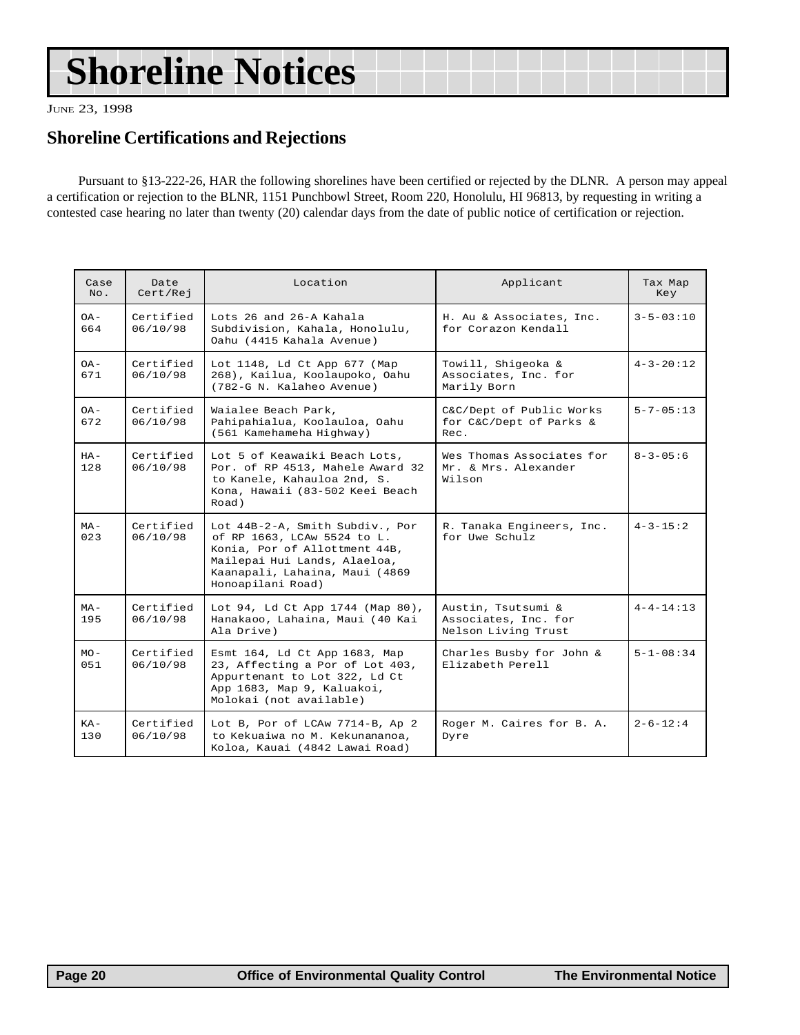# <span id="page-19-0"></span>**Shoreline Notices**

JUNE 23, 1998

### **Shoreline Certifications and Rejections**

Pursuant to §13-222-26, HAR the following shorelines have been certified or rejected by the DLNR. A person may appeal a certification or rejection to the BLNR, 1151 Punchbowl Street, Room 220, Honolulu, HI 96813, by requesting in writing a contested case hearing no later than twenty (20) calendar days from the date of public notice of certification or rejection.

| Case<br>No.   | Date<br>Cert/Rej      | Applicant<br>Location                                                                                                                                                                  |                                                                   | Tax Map<br>Key   |
|---------------|-----------------------|----------------------------------------------------------------------------------------------------------------------------------------------------------------------------------------|-------------------------------------------------------------------|------------------|
| $OA -$<br>664 | Certified<br>06/10/98 | Lots 26 and 26-A Kahala<br>Subdivision, Kahala, Honolulu,<br>Oahu (4415 Kahala Avenue)                                                                                                 | H. Au & Associates, Inc.<br>for Corazon Kendall                   | $3 - 5 - 03:10$  |
| $-AO$<br>671  | Certified<br>06/10/98 | Lot 1148, Ld Ct App 677 (Map<br>Towill, Shigeoka &<br>268), Kailua, Koolaupoko, Oahu<br>Associates, Inc. for<br>(782-G N. Kalaheo Avenue)<br>Marily Born                               |                                                                   | $4 - 3 - 20:12$  |
| $OA -$<br>672 | Certified<br>06/10/98 | Waialee Beach Park,<br>Pahipahialua, Koolauloa, Oahu<br>(561 Kamehameha Highway)                                                                                                       | C&C/Dept of Public Works<br>for C&C/Dept of Parks &<br>Rec.       | $5 - 7 - 05:13$  |
| $HA -$<br>128 | Certified<br>06/10/98 | Lot 5 of Keawaiki Beach Lots,<br>Por. of RP 4513, Mahele Award 32<br>to Kanele, Kahauloa 2nd, S.<br>Kona, Hawaii (83-502 Keei Beach<br>Road)                                           | Wes Thomas Associates for<br>Mr. & Mrs. Alexander<br>Wilson       | $8 - 3 - 05 : 6$ |
| $MA -$<br>023 | Certified<br>06/10/98 | Lot 44B-2-A, Smith Subdiv., Por<br>of RP 1663, LCAw 5524 to L.<br>Konia, Por of Allottment 44B,<br>Mailepai Hui Lands, Alaeloa,<br>Kaanapali, Lahaina, Maui (4869<br>Honoapilani Road) | R. Tanaka Engineers, Inc.<br>for Uwe Schulz                       | $4 - 3 - 15:2$   |
| $MA -$<br>195 | Certified<br>06/10/98 | Lot 94, Ld Ct App 1744 (Map 80),<br>Hanakaoo, Lahaina, Maui (40 Kai<br>Ala Drive)                                                                                                      | Austin, Tsutsumi &<br>Associates, Inc. for<br>Nelson Living Trust | $4 - 4 - 14:13$  |
| $MO -$<br>051 | Certified<br>06/10/98 | Esmt 164, Ld Ct App 1683, Map<br>23, Affecting a Por of Lot 403,<br>Appurtenant to Lot 322, Ld Ct<br>App 1683, Map 9, Kaluakoi,<br>Molokai (not available)                             | Charles Busby for John &<br>Elizabeth Perell                      | $5 - 1 - 08:34$  |
| $KA-$<br>130  | Certified<br>06/10/98 | Lot B, Por of LCAw 7714-B, Ap 2<br>to Kekuaiwa no M. Kekunananoa,<br>Koloa, Kauai (4842 Lawai Road)                                                                                    | Roger M. Caires for B. A.<br>Dyre                                 | $2 - 6 - 12:4$   |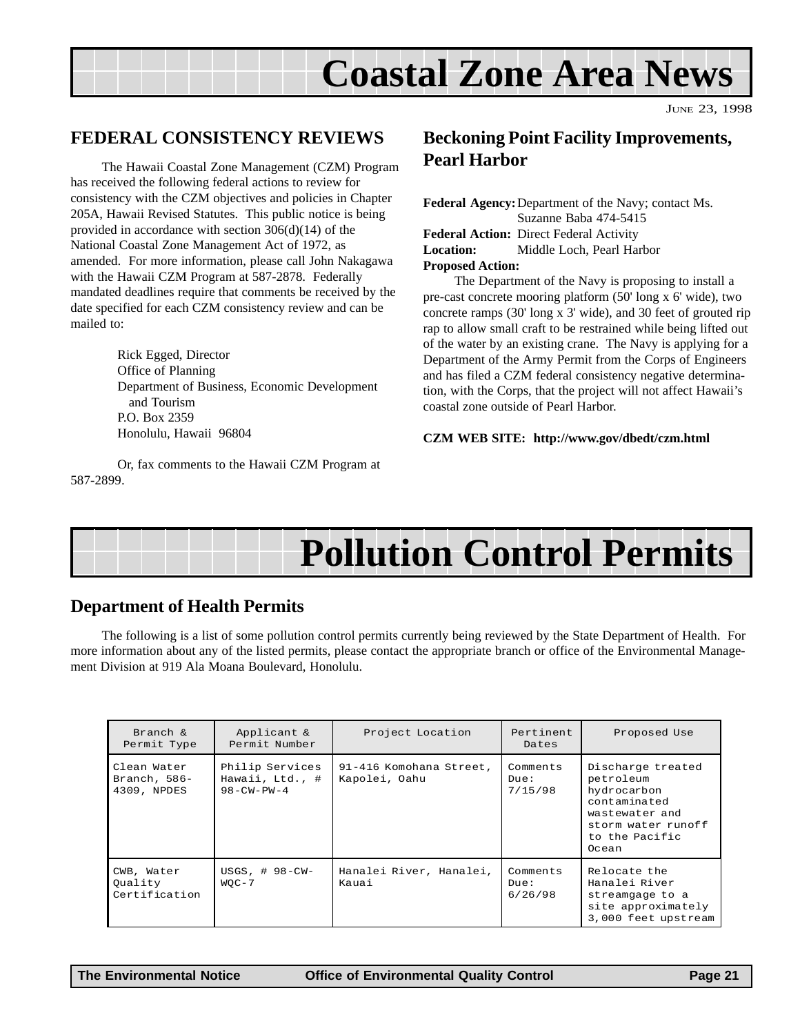# **Coastal Zone Area News**

JUNE 23, 1998

### <span id="page-20-0"></span>**FEDERAL CONSISTENCY REVIEWS**

The Hawaii Coastal Zone Management (CZM) Program has received the following federal actions to review for consistency with the CZM objectives and policies in Chapter 205A, Hawaii Revised Statutes. This public notice is being provided in accordance with section 306(d)(14) of the National Coastal Zone Management Act of 1972, as amended. For more information, please call John Nakagawa with the Hawaii CZM Program at 587-2878. Federally mandated deadlines require that comments be received by the date specified for each CZM consistency review and can be mailed to:

> Rick Egged, Director Office of Planning Department of Business, Economic Development and Tourism P.O. Box 2359 Honolulu, Hawaii 96804

Or, fax comments to the Hawaii CZM Program at 587-2899.

### **Beckoning Point Facility Improvements, Pearl Harbor**

| <b>Federal Agency:</b> Department of the Navy; contact Ms. |                                                |  |  |  |
|------------------------------------------------------------|------------------------------------------------|--|--|--|
|                                                            | Suzanne Baba 474-5415                          |  |  |  |
|                                                            | <b>Federal Action:</b> Direct Federal Activity |  |  |  |
|                                                            | <b>Location:</b> Middle Loch, Pearl Harbor     |  |  |  |
| <b>Proposed Action:</b>                                    |                                                |  |  |  |

The Department of the Navy is proposing to install a pre-cast concrete mooring platform (50' long x 6' wide), two concrete ramps (30' long x 3' wide), and 30 feet of grouted rip rap to allow small craft to be restrained while being lifted out of the water by an existing crane. The Navy is applying for a Department of the Army Permit from the Corps of Engineers and has filed a CZM federal consistency negative determination, with the Corps, that the project will not affect Hawaii's coastal zone outside of Pearl Harbor.

#### **CZM WEB SITE: http://www.gov/dbedt/czm.html**

# **Pollution Control Permits**

### **Department of Health Permits**

The following is a list of some pollution control permits currently being reviewed by the State Department of Health. For more information about any of the listed permits, please contact the appropriate branch or office of the Environmental Management Division at 919 Ala Moana Boulevard, Honolulu.

| Branch $\&$<br>Permit Type                   | Applicant &<br>Permit Number                             | Project Location                         | Pertinent<br>Dates          | Proposed Use                                                                                                                     |
|----------------------------------------------|----------------------------------------------------------|------------------------------------------|-----------------------------|----------------------------------------------------------------------------------------------------------------------------------|
| Clean Water<br>Branch, $586-$<br>4309, NPDES | Philip Services<br>Hawaii, Ltd., #<br>$98 - CW - PW - 4$ | 91-416 Komohana Street,<br>Kapolei, Oahu | Comments<br>Due:<br>7/15/98 | Discharge treated<br>petroleum<br>hydrocarbon<br>contaminated<br>wastewater and<br>storm water runoff<br>to the Pacific<br>Ocean |
| CWB, Water<br>Ouality<br>Certification       | USGS, $\#$ 98-CW-<br>$WOC-7$                             | Hanalei River, Hanalei,<br>Kauai         | Comments<br>Due:<br>6/26/98 | Relocate the<br>Hanalei River<br>streamgage to a<br>site approximately<br>3,000 feet upstream                                    |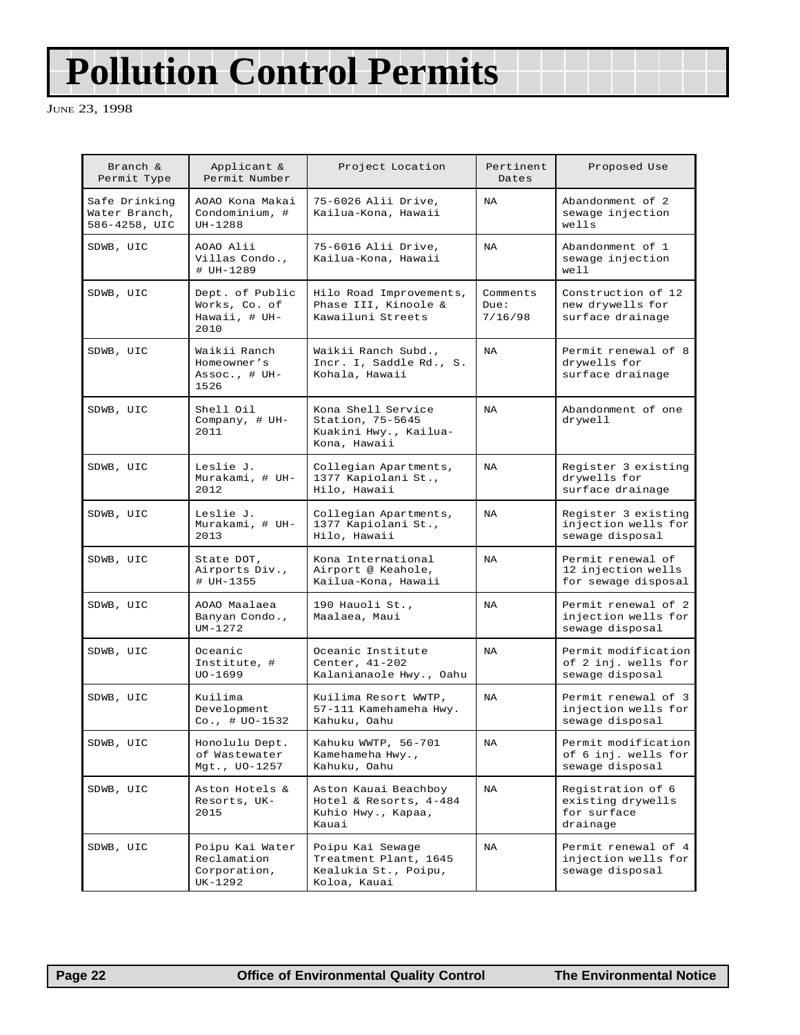# **Pollution Control Permits**

JUNE 23, 1998

| Branch &<br>Permit Type                         | Applicant &<br>Permit Number                              | Project Location                                                                  | Pertinent<br>Dates          | Proposed Use                                                      |
|-------------------------------------------------|-----------------------------------------------------------|-----------------------------------------------------------------------------------|-----------------------------|-------------------------------------------------------------------|
| Safe Drinking<br>Water Branch,<br>586-4258, UIC | AOAO Kona Makai<br>Condominium, #<br>$UH-1288$            | 75-6026 Alii Drive,<br>Kailua-Kona, Hawaii                                        | <b>NA</b>                   | Abandonment of 2<br>sewage injection<br>wells                     |
| SDWB, UIC                                       | AOAO Alii<br>Villas Condo.,<br># UH-1289                  | 75-6016 Alii Drive,<br>Kailua-Kona, Hawaii                                        | <b>NA</b>                   | Abandonment of 1<br>sewage injection<br>well                      |
| SDWB, UIC                                       | Dept. of Public<br>Works, Co. of<br>Hawaii, # UH-<br>2010 | Hilo Road Improvements,<br>Phase III, Kinoole &<br>Kawailuni Streets              | Comments<br>Due:<br>7/16/98 | Construction of 12<br>new drywells for<br>surface drainage        |
| SDWB, UIC                                       | Waikii Ranch<br>Homeowner's<br>Assoc., $# UH -$<br>1526   | Waikii Ranch Subd.,<br>Incr. I, Saddle Rd., S.<br>Kohala, Hawaii                  | <b>NA</b>                   | Permit renewal of 8<br>drywells for<br>surface drainage           |
| SDWB, UIC                                       | Shell Oil<br>Company, # UH-<br>2011                       | Kona Shell Service<br>Station, 75-5645<br>Kuakini Hwy., Kailua-<br>Kona, Hawaii   | <b>NA</b>                   | Abandonment of one<br>drywell                                     |
| SDWB, UIC                                       | Leslie J.<br>Murakami, # UH-<br>2012                      | Collegian Apartments,<br>1377 Kapiolani St.,<br>Hilo, Hawaii                      | <b>NA</b>                   | Register 3 existing<br>drywells for<br>surface drainage           |
| SDWB, UIC                                       | Leslie J.<br>Murakami, # UH-<br>2013                      | Collegian Apartments,<br>1377 Kapiolani St.,<br>Hilo, Hawaii                      | <b>NA</b>                   | Register 3 existing<br>injection wells for<br>sewage disposal     |
| SDWB, UIC                                       | State DOT,<br>Airports Div.,<br># UH-1355                 | Kona International<br>Airport @ Keahole,<br>Kailua-Kona, Hawaii                   | <b>NA</b>                   | Permit renewal of<br>12 injection wells<br>for sewage disposal    |
| SDWB, UIC                                       | AOAO Maalaea<br>Banyan Condo.,<br>$UM-1272$               | 190 Hauoli St.,<br>Maalaea, Maui                                                  | NA                          | Permit renewal of 2<br>injection wells for<br>sewage disposal     |
| SDWB, UIC                                       | Oceanic<br>Institute, #<br>$100-1699$                     | Oceanic Institute<br>Center, 41-202<br>Kalanianaole Hwy., Oahu                    | <b>NA</b>                   | Permit modification<br>of 2 inj. wells for<br>sewage disposal     |
| SDWB, UIC                                       | Kuilima<br>Development<br>$Co.$ , # $UO-1532$             | Kuilima Resort WWTP,<br>57-111 Kamehameha Hwy.<br>Kahuku, Oahu                    | NA                          | Permit renewal of 3<br>injection wells for<br>sewage disposal     |
| SDWB, UIC                                       | Honolulu Dept.<br>of Wastewater<br>Mgt., UO-1257          | Kahuku WWTP, 56-701<br>Kamehameha Hwy.,<br>Kahuku, Oahu                           | NA                          | Permit modification<br>of 6 inj. wells for<br>sewage disposal     |
| SDWB, UIC                                       | Aston Hotels &<br>Resorts, UK-<br>2015                    | Aston Kauai Beachboy<br>Hotel & Resorts, 4-484<br>Kuhio Hwy., Kapaa,<br>Kauai     | NA                          | Registration of 6<br>existing drywells<br>for surface<br>drainage |
| SDWB, UIC                                       | Poipu Kai Water<br>Reclamation<br>Corporation,<br>UK-1292 | Poipu Kai Sewage<br>Treatment Plant, 1645<br>Kealukia St., Poipu,<br>Koloa, Kauai | NA                          | Permit renewal of 4<br>injection wells for<br>sewage disposal     |